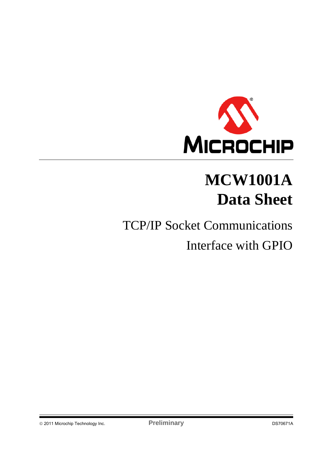

# **MCW1001A Data Sheet**

# TCP/IP Socket Communications

Interface with GPIO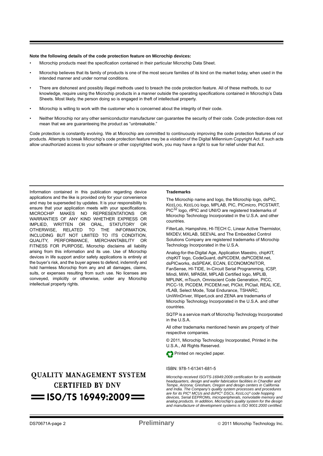#### **Note the following details of the code protection feature on Microchip devices:**

- Microchip products meet the specification contained in their particular Microchip Data Sheet.
- Microchip believes that its family of products is one of the most secure families of its kind on the market today, when used in the intended manner and under normal conditions.
- There are dishonest and possibly illegal methods used to breach the code protection feature. All of these methods, to our knowledge, require using the Microchip products in a manner outside the operating specifications contained in Microchip's Data Sheets. Most likely, the person doing so is engaged in theft of intellectual property.
- Microchip is willing to work with the customer who is concerned about the integrity of their code.
- Neither Microchip nor any other semiconductor manufacturer can guarantee the security of their code. Code protection does not mean that we are guaranteeing the product as "unbreakable."

Code protection is constantly evolving. We at Microchip are committed to continuously improving the code protection features of our products. Attempts to break Microchip's code protection feature may be a violation of the Digital Millennium Copyright Act. If such acts allow unauthorized access to your software or other copyrighted work, you may have a right to sue for relief under that Act.

Information contained in this publication regarding device applications and the like is provided only for your convenience and may be superseded by updates. It is your responsibility to ensure that your application meets with your specifications. MICROCHIP MAKES NO REPRESENTATIONS OR WARRANTIES OF ANY KIND WHETHER EXPRESS OR IMPLIED, WRITTEN OR ORAL, STATUTORY OR OTHERWISE, RELATED TO THE INFORMATION, INCLUDING BUT NOT LIMITED TO ITS CONDITION, QUALITY, PERFORMANCE, MERCHANTABILITY OR FITNESS FOR PURPOSE**.** Microchip disclaims all liability arising from this information and its use. Use of Microchip devices in life support and/or safety applications is entirely at the buyer's risk, and the buyer agrees to defend, indemnify and hold harmless Microchip from any and all damages, claims, suits, or expenses resulting from such use. No licenses are conveyed, implicitly or otherwise, under any Microchip intellectual property rights.

### **OUALITY MANAGEMENT SYSTEM CERTIFIED BY DNV**  $=$  ISO/TS 16949:2009 $=$

#### **Trademarks**

The Microchip name and logo, the Microchip logo, dsPIC, KEELOQ, KEELOQ logo, MPLAB, PIC, PICmicro, PICSTART, PIC<sup>32</sup> logo, rfPIC and UNI/O are registered trademarks of Microchip Technology Incorporated in the U.S.A. and other countries.

FilterLab, Hampshire, HI-TECH C, Linear Active Thermistor, MXDEV, MXLAB, SEEVAL and The Embedded Control Solutions Company are registered trademarks of Microchip Technology Incorporated in the U.S.A.

Analog-for-the-Digital Age, Application Maestro, chipKIT, chipKIT logo, CodeGuard, dsPICDEM, dsPICDEM.net, dsPICworks, dsSPEAK, ECAN, ECONOMONITOR, FanSense, HI-TIDE, In-Circuit Serial Programming, ICSP, Mindi, MiWi, MPASM, MPLAB Certified logo, MPLIB, MPLINK, mTouch, Omniscient Code Generation, PICC, PICC-18, PICDEM, PICDEM.net, PICkit, PICtail, REAL ICE, rfLAB, Select Mode, Total Endurance, TSHARC, UniWinDriver, WiperLock and ZENA are trademarks of Microchip Technology Incorporated in the U.S.A. and other countries.

SQTP is a service mark of Microchip Technology Incorporated in the U.S.A.

All other trademarks mentioned herein are property of their respective companies.

© 2011, Microchip Technology Incorporated, Printed in the U.S.A., All Rights Reserved.

Printed on recycled paper.

ISBN: 978-1-61341-681-5

*Microchip received ISO/TS-16949:2009 certification for its worldwide headquarters, design and wafer fabrication facilities in Chandler and Tempe, Arizona; Gresham, Oregon and design centers in California and India. The Company's quality system processes and procedures are for its PIC® MCUs and dsPIC® DSCs, KEELOQ® code hopping devices, Serial EEPROMs, microperipherals, nonvolatile memory and analog products. In addition, Microchip's quality system for the design and manufacture of development systems is ISO 9001:2000 certified.*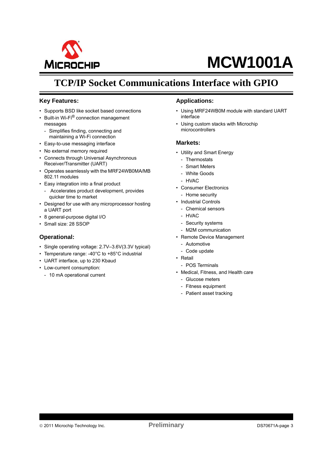

# **MCW1001A**

### **TCP/IP Socket Communications Interface with GPIO**

#### **Key Features:**

- Supports BSD like socket based connections
- Built-in Wi-Fi<sup>®</sup> connection management messages
	- Simplifies finding, connecting and maintaining a Wi-Fi connection
- Easy-to-use messaging interface
- No external memory required
- Connects through Universal Asynchronous Receiver/Transmitter (UART)
- Operates seamlessly with the MRF24WB0MA/MB 802.11 modules
- Easy integration into a final product
- Accelerates product development, provides quicker time to market
- Designed for use with any microprocessor hosting a UART port
- 8 general-purpose digital I/O
- Small size: 28 SSOP

#### **Operational:**

- Single operating voltage: 2.7V–3.6V(3.3V typical)
- Temperature range: -40°C to +85°C industrial
- UART interface, up to 230 Kbaud
- Low-current consumption:
	- 10 mA operational current

#### **Applications:**

- Using MRF24WB0M module with standard UART interface
- Using custom stacks with Microchip microcontrollers

#### **Markets:**

- Utility and Smart Energy
	- Thermostats
	- Smart Meters
	- White Goods
	- HVAC
- Consumer Electronics
	- Home security
- Industrial Controls
	- Chemical sensors
	- HVAC
	- Security systems
	- M2M communication
- Remote Device Management
	- Automotive
	- Code update
- Retail
	- POS Terminals
- Medical, Fitness, and Health care
	- Glucose meters
	- Fitness equipment
	- Patient asset tracking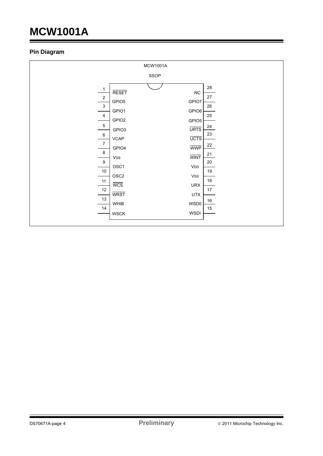#### **Pin Diagram**

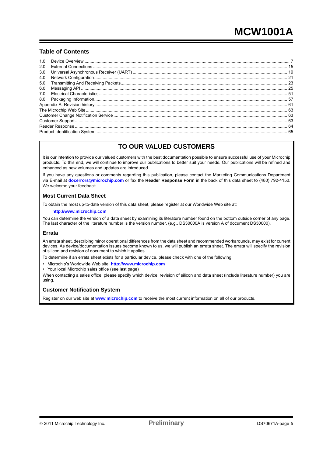#### **Table of Contents**

| 1.0 |  |
|-----|--|
| 2 O |  |
| 3.0 |  |
| 4.0 |  |
| 5.0 |  |
| 6.0 |  |
| 7.0 |  |
| 8.0 |  |
|     |  |
|     |  |
|     |  |
|     |  |
|     |  |
|     |  |

#### **TO OUR VALUED CUSTOMERS**

It is our intention to provide our valued customers with the best documentation possible to ensure successful use of your Microchip products. To this end, we will continue to improve our publications to better suit your needs. Our publications will be refined and enhanced as new volumes and updates are introduced.

If you have any questions or comments regarding this publication, please contact the Marketing Communications Department via E-mail at **[docerrors@microchip.com](mailto:docerrors@microchip.com)** or fax the **Reader Response Form** in the back of this data sheet to (480) 792-4150. We welcome your feedback.

#### **Most Current Data Sheet**

To obtain the most up-to-date version of this data sheet, please register at our Worldwide Web site at:

#### **http://www.microchip.com**

You can determine the version of a data sheet by examining its literature number found on the bottom outside corner of any page. The last character of the literature number is the version number, (e.g., DS30000A is version A of document DS30000).

#### **Errata**

An errata sheet, describing minor operational differences from the data sheet and recommended workarounds, may exist for current devices. As device/documentation issues become known to us, we will publish an errata sheet. The errata will specify the revision of silicon and revision of document to which it applies.

To determine if an errata sheet exists for a particular device, please check with one of the following:

• Microchip's Worldwide Web site; **[h](http://www.microchip.com)ttp://www.microchip.com**

• Your local Microchip sales office (see last page)

When contacting a sales office, please specify which device, revision of silicon and data sheet (include literature number) you are using.

#### **Customer Notification System**

Register on our web site at **[www.microchip.com](http://www.microchip.com)** to receive the most current information on all of our products.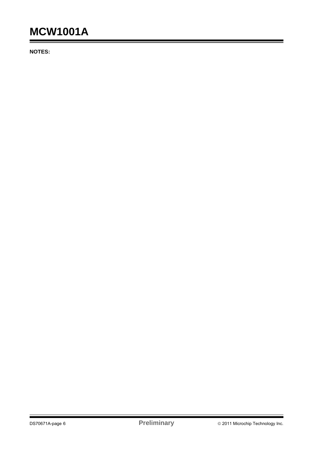**NOTES:**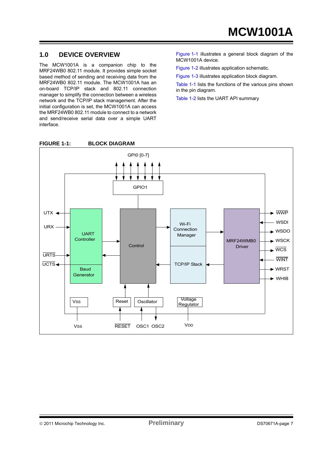#### **1.0 DEVICE OVERVIEW**

The MCW1001A is a companion chip to the MRF24WB0 802.11 module. It provides simple socket based method of sending and receiving data from the MRF24WB0 802.11 module. The MCW1001A has an on-board TCP/IP stack and 802.11 connection manager to simplify the connection between a wireless network and the TCP/IP stack management. After the initial configuration is set, the MCW1001A can access the MRF24WB0 802.11 module to connect to a network and send/receive serial data over a simple UART interface.

[Figure](#page-6-0) 1-1 illustrates a general block diagram of the MCW1001A device.

[Figure](#page-8-0) 1-2 illustrates application schematic.

[Figure](#page-9-0) 1-3 illustrates application block diagram.

[Table](#page-7-0) 1-1 lists the functions of the various pins shown in the pin diagram.

[Table](#page-10-0) 1-2 lists the UART API summary

<span id="page-6-0"></span>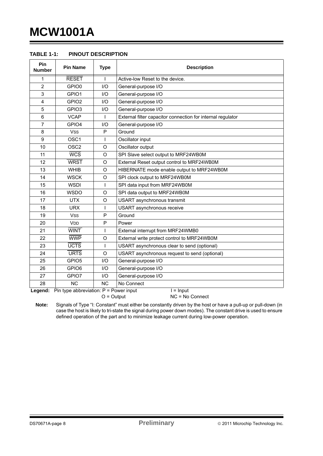| Pin<br><b>Number</b> | <b>Pin Name</b>                          | <b>Type</b>  | <b>Description</b>                                          |  |
|----------------------|------------------------------------------|--------------|-------------------------------------------------------------|--|
| 1                    | <b>RESET</b>                             | T            | Active-low Reset to the device.                             |  |
| $\overline{2}$       | GPIO0                                    | I/O          | General-purpose I/O                                         |  |
| 3                    | GPIO1                                    | I/O          | General-purpose I/O                                         |  |
| $\overline{4}$       | GPIO <sub>2</sub>                        | I/O          | General-purpose I/O                                         |  |
| 5                    | GPIO <sub>3</sub>                        | I/O          | General-purpose I/O                                         |  |
| $6\phantom{1}6$      | <b>VCAP</b>                              | T            | External filter capacitor connection for internal regulator |  |
| $\overline{7}$       | GPIO4                                    | 1/O          | General-purpose I/O                                         |  |
| 8                    | <b>Vss</b>                               | P            | Ground                                                      |  |
| 9                    | OSC <sub>1</sub>                         | L            | Oscillator input                                            |  |
| 10                   | OSC <sub>2</sub>                         | O            | Oscillator output                                           |  |
| 11                   | $\overline{WCS}$                         | O            | SPI Slave select output to MRF24WB0M                        |  |
| 12                   | <b>WRST</b>                              | O            | External Reset output control to MRF24WB0M                  |  |
| 13                   | <b>WHIB</b>                              | O            | HIBERNATE mode enable output to MRF24WB0M                   |  |
| 14                   | <b>WSCK</b>                              | O            | SPI clock output to MRF24WB0M                               |  |
| 15                   | <b>WSDI</b>                              | T            | SPI data input from MRF24WB0M                               |  |
| 16                   | <b>WSDO</b>                              | O            | SPI data output to MRF24WB0M                                |  |
| 17                   | <b>UTX</b>                               | O            | USART asynchronous transmit                                 |  |
| 18                   | <b>URX</b>                               | T            | USART asynchronous receive                                  |  |
| 19                   | <b>Vss</b>                               | P            | Ground                                                      |  |
| 20                   | <b>V<sub>DD</sub></b>                    | P            | Power                                                       |  |
| 21                   | <b>WINT</b>                              | T            | External interrupt from MRF24WMB0                           |  |
| 22                   | <b>WWP</b>                               | O            | External write protect control to MRF24WB0M                 |  |
| 23                   | $\overline{UCTS}$                        | T            | USART asynchronous clear to send (optional)                 |  |
| 24                   | <b>URTS</b>                              | O            | USART asynchronous request to send (optional)               |  |
| 25                   | GPIO <sub>5</sub>                        | I/O          | General-purpose I/O                                         |  |
| 26                   | GPIO6                                    | I/O          | General-purpose I/O                                         |  |
| 27                   | GPIO7                                    | $II$         | General-purpose I/O                                         |  |
| 28                   | <b>NC</b>                                | <b>NC</b>    | No Connect                                                  |  |
| Legend:              | Pin type abbreviation: $P = Power input$ | $O = Output$ | $l =$ Input<br>NC = No Connect                              |  |

#### <span id="page-7-0"></span>**TABLE 1-1: PINOUT DESCRIPTION**

**Note:** Signals of Type "I: Constant" must either be constantly driven by the host or have a pull-up or pull-down (in case the host is likely to tri-state the signal during power down modes). The constant drive is used to ensure defined operation of the part and to minimize leakage current during low-power operation.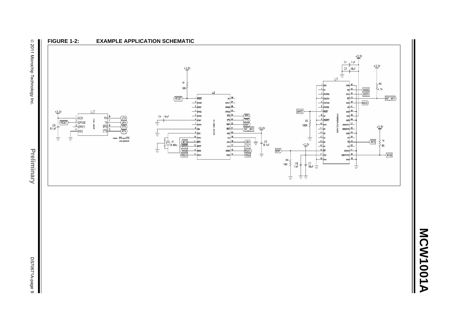

2011 Microchip Technology Inc. © 2011 Microchip Technology Inc.

<span id="page-8-0"></span>Preliminary **Preliminary**

**MCW1001A MCW1001A** I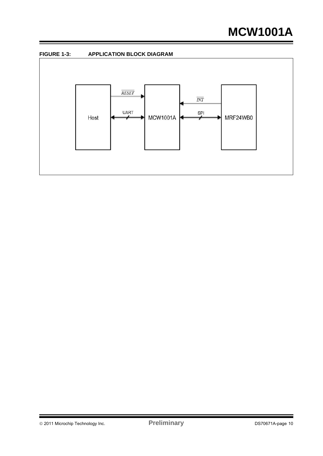<span id="page-9-0"></span>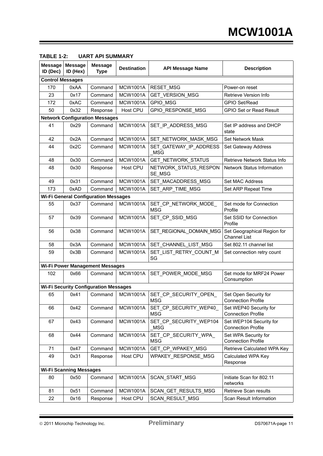| <b>Message</b><br>ID (Dec) | <b>Message</b><br>ID (Hex)     | <b>Message</b><br><b>Type</b>                | <b>Destination</b> | <b>API Message Name</b>              | <b>Description</b>                                   |
|----------------------------|--------------------------------|----------------------------------------------|--------------------|--------------------------------------|------------------------------------------------------|
| <b>Control Messages</b>    |                                |                                              |                    |                                      |                                                      |
| 170                        | 0xAA                           | Command                                      | <b>MCW1001A</b>    | <b>RESET MSG</b>                     | Power-on reset                                       |
| 23                         | 0x17                           | Command                                      | <b>MCW1001A</b>    | GET_VERSION_MSG                      | Retrieve Version Info                                |
| 172                        | 0xAC                           | Command                                      | <b>MCW1001A</b>    | <b>GPIO MSG</b>                      | GPIO Set/Read                                        |
| 50                         | 0x32                           | Response                                     | Host CPU           | GPIO RESPONSE MSG                    | <b>GPIO Set or Read Result</b>                       |
|                            |                                | <b>Network Configuration Messages</b>        |                    |                                      |                                                      |
| 41                         | 0x29                           | Command                                      | <b>MCW1001A</b>    | SET IP ADDRESS MSG                   | Set IP address and DHCP<br>state                     |
| 42                         | 0x2A                           | Command                                      | <b>MCW1001A</b>    | SET_NETWORK_MASK_MSG                 | <b>Set Network Mask</b>                              |
| 44                         | 0x2C                           | Command                                      | <b>MCW1001A</b>    | SET GATEWAY IP ADDRESS<br>MSG        | Set Gateway Address                                  |
| 48                         | 0x30                           | Command                                      | <b>MCW1001A</b>    | GET_NETWORK_STATUS                   | Retrieve Network Status Info                         |
| 48                         | 0x30                           | Response                                     | Host CPU           | NETWORK_STATUS_RESPON<br>SE MSG      | <b>Network Status Information</b>                    |
| 49                         | 0x31                           | Command                                      | <b>MCW1001A</b>    | SET MACADDRESS MSG                   | Set MAC Address                                      |
| 173                        | 0xAD                           | Command                                      | <b>MCW1001A</b>    | SET_ARP_TIME_MSG                     | Set ARP Repeat Time                                  |
|                            |                                | <b>Wi-Fi General Configuration Messages</b>  |                    |                                      |                                                      |
| 55                         | 0x37                           | Command                                      | <b>MCW1001A</b>    | SET_CP_NETWORK_MODE_<br><b>MSG</b>   | Set mode for Connection<br>Profile                   |
| 57                         | 0x39                           | Command                                      | <b>MCW1001A</b>    | SET_CP_SSID_MSG                      | Set SSID for Connection<br>Profile                   |
| 56                         | 0x38                           | Command                                      | <b>MCW1001A</b>    | SET_REGIONAL_DOMAIN_MSG              | Set Geographical Region for<br><b>Channel List</b>   |
| 58                         | 0x3A                           | Command                                      | <b>MCW1001A</b>    | SET_CHANNEL_LIST_MSG                 | Set 802.11 channel list                              |
| 59                         | 0x3B                           | Command                                      | <b>MCW1001A</b>    | SET LIST RETRY COUNT M<br>SG         | Set connection retry count                           |
|                            |                                | <b>Wi-Fi Power Management Messages</b>       |                    |                                      |                                                      |
| 102                        | 0x66                           | Command                                      | <b>MCW1001A</b>    | SET_POWER_MODE_MSG                   | Set mode for MRF24 Power<br>Consumption              |
|                            |                                | <b>Wi-Fi Security Configuration Messages</b> |                    |                                      |                                                      |
| 65                         | 0x41                           | Command                                      | <b>MCW1001A</b>    | SET_CP_SECURITY_OPEN_<br><b>MSG</b>  | Set Open Security for<br><b>Connection Profile</b>   |
| 66                         | 0x42                           | Command                                      | <b>MCW1001A</b>    | SET_CP_SECURITY_WEP40<br><b>MSG</b>  | Set WEP40 Security for<br><b>Connection Profile</b>  |
| 67                         | 0x43                           | Command                                      | <b>MCW1001A</b>    | SET_CP_SECURITY_WEP104<br><b>MSG</b> | Set WEP104 Security for<br><b>Connection Profile</b> |
| 68                         | 0x44                           | Command                                      | <b>MCW1001A</b>    | SET_CP_SECURITY_WPA_<br><b>MSG</b>   | Set WPA Security for<br><b>Connection Profile</b>    |
| 71                         | 0x47                           | Command                                      | <b>MCW1001A</b>    | GET_CP_WPAKEY_MSG                    | Retrieve Calculated WPA Key                          |
| 49                         | 0x31                           | Response                                     | Host CPU           | WPAKEY RESPONSE MSG                  | Calculated WPA Key<br>Response                       |
|                            | <b>Wi-Fi Scanning Messages</b> |                                              |                    |                                      |                                                      |
| 80                         | 0x50                           | Command                                      | <b>MCW1001A</b>    | <b>SCAN START MSG</b>                | Initiate Scan for 802.11<br>networks                 |
| 81                         | 0x51                           | Command                                      | <b>MCW1001A</b>    | SCAN_GET_RESULTS_MSG                 | Retrieve Scan results                                |
| 22                         | 0x16                           | Response                                     | Host CPU           | SCAN_RESULT_MSG                      | Scan Result Information                              |

#### <span id="page-10-0"></span>**TABLE 1-2: UART API SUMMARY**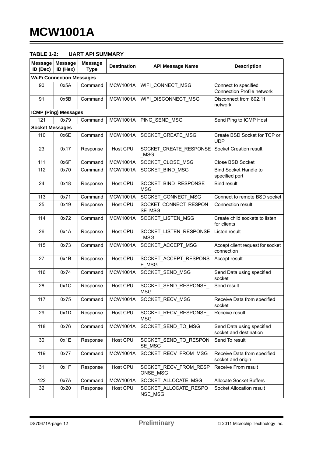| <b>TABLE 1-2:</b> | <b>UART API SUMMARY</b> |
|-------------------|-------------------------|
|-------------------|-------------------------|

| <b>Message</b><br>ID (Dec) | <b>Message</b><br>ID (Hex)       | <b>Message</b><br><b>Type</b> | <b>Destination</b> | <b>API Message Name</b>              | <b>Description</b>                                        |
|----------------------------|----------------------------------|-------------------------------|--------------------|--------------------------------------|-----------------------------------------------------------|
|                            | <b>Wi-Fi Connection Messages</b> |                               |                    |                                      |                                                           |
| 90                         | 0x5A                             | Command                       | <b>MCW1001A</b>    | WIFI CONNECT MSG                     | Connect to specified<br><b>Connection Profile network</b> |
| 91                         | 0x5B                             | Command                       | <b>MCW1001A</b>    | WIFI DISCONNECT MSG                  | Disconnect from 802.11<br>network                         |
|                            | <b>ICMP (Ping) Messages</b>      |                               |                    |                                      |                                                           |
| 121                        | 0x79                             | Command                       | <b>MCW1001A</b>    | PING_SEND_MSG                        | Send Ping to ICMP Host                                    |
| <b>Socket Messages</b>     |                                  |                               |                    |                                      |                                                           |
| 110                        | 0x6E                             | Command                       | <b>MCW1001A</b>    | SOCKET CREATE MSG                    | Create BSD Socket for TCP or<br><b>UDP</b>                |
| 23                         | 0x17                             | Response                      | Host CPU           | SOCKET CREATE RESPONSE<br><b>MSG</b> | Socket Creation result                                    |
| 111                        | 0x6F                             | Command                       | <b>MCW1001A</b>    | SOCKET_CLOSE_MSG                     | Close BSD Socket                                          |
| 112                        | 0x70                             | Command                       | <b>MCW1001A</b>    | SOCKET_BIND_MSG                      | <b>Bind Socket Handle to</b><br>specified port            |
| 24                         | 0x18                             | Response                      | Host CPU           | SOCKET BIND RESPONSE<br><b>MSG</b>   | <b>Bind result</b>                                        |
| 113                        | 0x71                             | Command                       | <b>MCW1001A</b>    | SOCKET_CONNECT_MSG                   | Connect to remote BSD socket                              |
| 25                         | 0x19                             | Response                      | <b>Host CPU</b>    | SOCKET CONNECT RESPON<br>SE MSG      | Connection result                                         |
| 114                        | 0x72                             | Command                       | <b>MCW1001A</b>    | SOCKET_LISTEN_MSG                    | Create child sockets to listen<br>for clients             |
| 26                         | 0x1A                             | Response                      | <b>Host CPU</b>    | SOCKET_LISTEN_RESPONSE<br><b>MSG</b> | Listen result                                             |
| 115                        | 0x73                             | Command                       | <b>MCW1001A</b>    | SOCKET_ACCEPT_MSG                    | Accept client request for socket<br>connection            |
| 27                         | 0x1B                             | Response                      | Host CPU           | SOCKET_ACCEPT_RESPONS<br>E MSG       | Accept result                                             |
| 116                        | 0x74                             | Command                       | <b>MCW1001A</b>    | SOCKET_SEND_MSG                      | Send Data using specified<br>socket                       |
| 28                         | 0x1C                             | Response                      | Host CPU           | SOCKET SEND RESPONSE<br><b>MSG</b>   | Send result                                               |
| 117                        | 0x75                             | Command                       | <b>MCW1001A</b>    | SOCKET RECV MSG                      | Receive Data from specified<br>socket                     |
| 29                         | 0x1D                             | Response                      | Host CPU           | SOCKET_RECV_RESPONSE_<br><b>MSG</b>  | Receive result                                            |
| 118                        | 0x76                             | Command                       | <b>MCW1001A</b>    | SOCKET_SEND_TO_MSG                   | Send Data using specified<br>socket and destination       |
| 30                         | 0x1E                             | Response                      | Host CPU           | SOCKET_SEND_TO_RESPON<br>SE_MSG      | Send To result                                            |
| 119                        | 0x77                             | Command                       | <b>MCW1001A</b>    | SOCKET RECV FROM MSG                 | Receive Data from specified<br>socket and origin          |
| 31                         | 0x1F                             | Response                      | Host CPU           | SOCKET RECV FROM RESP<br>ONSE_MSG    | Receive From result                                       |
| 122                        | 0x7A                             | Command                       | <b>MCW1001A</b>    | SOCKET_ALLOCATE_MSG                  | <b>Allocate Socket Buffers</b>                            |
| 32                         | 0x20                             | Response                      | Host CPU           | SOCKET_ALLOCATE_RESPO<br>NSE MSG     | Socket Allocation result                                  |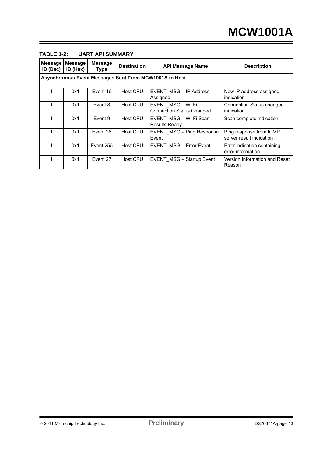| <b>Message</b><br>ID (Dec) | <b>Message</b><br>ID (Hex)                             | <b>Message</b><br>Type | <b>Destination</b> | <b>API Message Name</b>                               | <b>Description</b>                                  |
|----------------------------|--------------------------------------------------------|------------------------|--------------------|-------------------------------------------------------|-----------------------------------------------------|
|                            | Asynchronous Event Messages Sent From MCW1001A to Host |                        |                    |                                                       |                                                     |
| 1                          | 0x1                                                    | Event 16               | Host CPU           | EVENT MSG - IP Address<br>Assigned                    | New IP address assigned<br>indication               |
|                            | 0x1                                                    | Event 8                | Host CPU           | EVENT MSG - Wi-Fi<br><b>Connection Status Changed</b> | Connection Status changed<br>indication             |
|                            | 0x1                                                    | Event 9                | Host CPU           | EVENT MSG - Wi-Fi Scan<br>Results Ready               | Scan complete indication                            |
|                            | 0x1                                                    | Event 26               | Host CPU           | EVENT MSG - Ping Response<br>Event                    | Ping response from ICMP<br>server result indication |
|                            | 0x1                                                    | Event 255              | Host CPU           | EVENT MSG - Error Event                               | Error indication containing<br>error information    |
|                            | 0x1                                                    | Event 27               | Host CPU           | EVENT MSG - Startup Event                             | Version Information and Reset<br>Reason             |

#### **TABLE 1-2: UART API SUMMARY**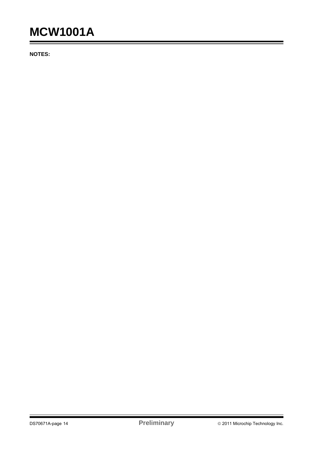## **MCW1001A**

**NOTES:**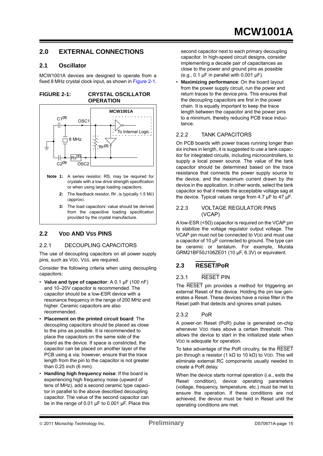#### <span id="page-14-0"></span>**2.0 EXTERNAL CONNECTIONS**

#### **2.1 Oscillator**

MCW1001A devices are designed to operate from a fixed 8 MHz crystal clock input, as shown in [Figure](#page-14-1) 2-1.

<span id="page-14-1"></span>**FIGURE 2-1: CRYSTAL OSCILLATOR OPERATION**



#### **2.2 VDD AND VSS PINS**

#### 2.2.1 DECOUPLING CAPACITORS

The use of decoupling capacitors on all power supply pins, such as VDD, VSS, are required.

Consider the following criteria when using decoupling capacitors:

- **Value and type of capacitor**: A 0.1 μF (100 nF) and 10–20V capacitor is recommended. The capacitor should be a low-ESR device with a resonance frequency in the range of 200 MHz and higher. Ceramic capacitors are also recommended.
- **Placement on the printed circuit board**: The decoupling capacitors should be placed as close to the pins as possible. It is recommended to place the capacitors on the same side of the board as the device. If space is constricted, the capacitor can be placed on another layer of the PCB using a via; however, ensure that the trace length from the pin to the capacitor is not greater than 0.25 inch (6 mm).
- **Handling high frequency noise**: If the board is experiencing high frequency noise (upward of tens of MHz), add a second ceramic type capacitor in parallel to the above described decoupling capacitor. The value of the second capacitor can be in the range of 0.01 μF to 0.001 μF. Place this

second capacitor next to each primary decoupling capacitor. In high-speed circuit designs, consider implementing a decade pair of capacitances as close to the power and ground pins as possible (e.g., 0.1  $\mu$ F in parallel with 0.001  $\mu$ F).

• **Maximizing performance**: On the board layout from the power supply circuit, run the power and return traces to the device pins. This ensures that the decoupling capacitors are first in the power chain. It is equally important to keep the trace length between the capacitor and the power pins to a minimum, thereby reducing PCB trace inductance.

#### 2.2.2 TANK CAPACITORS

On PCB boards with power traces running longer than six inches in length, it is suggested to use a tank capacitor for integrated circuits, including microcontrollers, to supply a local power source. The value of the tank capacitor should be determined based on the trace resistance that connects the power supply source to the device, and the maximum current drawn by the device in the application. In other words, select the tank capacitor so that it meets the acceptable voltage sag at the device. Typical values range from 4.7 μF to 47 μF.

#### 2.2.3 VOLTAGE REGULATOR PINS (VCAP)

A low-ESR ( $\leq$ 5 $\Omega$ ) capacitor is required on the VCAP pin to stabilize the voltage regulator output voltage. The VCAP pin must not be connected to VDD and must use a capacitor of 10 μF connected to ground. The type can be ceramic or tantalum. For example, Murata GRM21BF50J106ZE01 (10 μF, 6.3V) or equivalent.

#### **2.3 RESET/PoR**

#### 2.3.1 RESET PIN

The RESET pin provides a method for triggering an external Reset of the device. Holding the pin low generates a Reset. These devices have a noise filter in the Reset path that detects and ignores small pulses.

#### 2.3.2 PoR

A power-on Reset (PoR) pulse is generated on-chip whenever VDD rises above a certain threshold. This allows the device to start in the initialized state when VDD is adequate for operation.

To take advantage of the PoR circuitry, tie the RESET pin through a resistor (1 kΩ to 10 kΩ) to VDD. This will eliminate external RC components usually needed to create a PoR delay.

When the device starts normal operation (i.e., exits the Reset condition), device operating parameters (voltage, frequency, temperature, etc.) must be met to ensure the operation. If these conditions are not achieved, the device must be held in Reset until the operating conditions are met.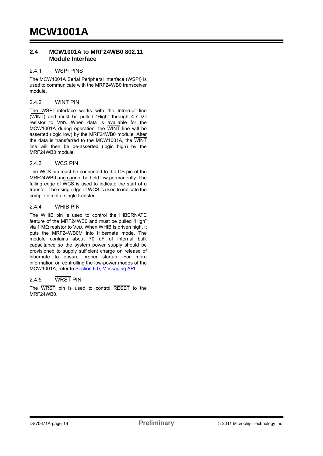#### **2.4 MCW1001A to MRF24WB0 802.11 Module Interface**

#### 2.4.1 WSPI PINS

The MCW1001A Serial Peripheral Interface (WSPI) is used to communicate with the MRF24WB0 transceiver module.

#### 2.4.2 WINT PIN

The WSPI interface works with the Interrupt line (WINT) and must be pulled "High" through 4.7 kΩ resistor to VDD. When data is available for the MCW1001A during operation, the WINT line will be asserted (logic low) by the MRF24WB0 module. After the data is transferred to the MCW1001A, the WINT line will then be de-asserted (logic high) by the MRF24WB0 module.

#### $2.4.3$  WCS PIN

The  $\overline{WCS}$  pin must be connected to the  $\overline{CS}$  pin of the MRF24WB0 and cannot be held low permanently. The falling edge of  $\overline{WCS}$  is used to indicate the start of a transfer. The rising edge of WCS is used to indicate the completion of a single transfer.

#### 2.4.4 WHIB PIN

The WHIB pin is used to control the HIBERNATE feature of the MRF24WB0 and must be pulled "High" via 1 MΩ resistor to VDD. When WHIB is driven high, it puts the MRF24WB0M into Hibernate mode. The module contains about 70 uF of internal bulk capacitance so the system power supply should be provisioned to supply sufficient charge on release of hibernate to ensure proper startup. For more information on controlling the low-power modes of the MCW1001A, refer to Section [6.0, Messaging API](#page-24-1).

#### 2.4.5 WRST PIN

The WRST pin is used to control RESET to the MRF24WB0.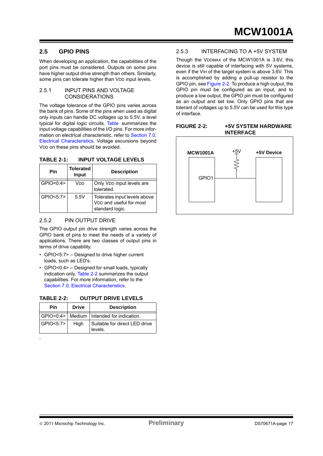#### **2.5 GPIO PINS**

When developing an application, the capabilities of the port pins must be considered. Outputs on some pins have higher output drive strength than others. Similarly, some pins can tolerate higher than VDD input levels.

#### 2.5.1 INPUT PINS AND VOLTAGE CONSIDERATIONS

The voltage tolerance of the GPIO pins varies across the bank of pins. Some of the pins when used as digital only inputs can handle DC voltages up to 5.5V, a level typical for digital logic circuits. [Table](#page-16-0) summarizes the input voltage capabilities of the I/O pins. For more information on electrical characteristic, refer to [Section](#page-50-1) 7.0, [Electrical Characteristics](#page-50-1). Voltage excursions beyond VDD on these pins should be avoided.

#### **TABLE 2-1: INPUT VOLTAGE LEVELS**

| Pin       | <b>Tolerated</b><br><b>Input</b> | <b>Description</b>                                                         |
|-----------|----------------------------------|----------------------------------------------------------------------------|
| GPIO<0:4> | Vnn                              | Only VDD input levels are<br>tolerated.                                    |
| GPIO<5:7> | 5.5V                             | Tolerates input levels above<br>VDD and useful for most<br>standard logic. |

#### 2.5.2 PIN OUTPUT DRIVE

The GPIO output pin drive strength varies across the GPIO bank of pins to meet the needs of a variety of applications. There are two classes of output pins in terms of drive capability.

- GPIO<5:7> Designed to drive higher current loads, such as LED's.
- GPIO<0:4> Designed for small loads, typically indication only. [Table](#page-16-2) 2-2 summarizes the output capabilities. For more information, refer to the Section [7.0, Electrical Characteristics.](#page-50-1)

#### <span id="page-16-2"></span>**TABLE 2-2: OUTPUT DRIVE LEVELS**

| Pin        | <b>Drive</b> | <b>Description</b>                            |
|------------|--------------|-----------------------------------------------|
|            |              | GPIO<0:4>   Medium   Intended for indication. |
| GPIO<5:7>1 | High         | Suitable for direct LED drive<br>levels.      |

#### 2.5.3 INTERFACING TO A +5V SYSTEM

Though the VDDMAX of the MCW1001A is 3.6V, this device is still capable of interfacing with 5V systems, even if the VIH of the target system is above 3.6V. This is accomplished by adding a pull-up resistor to the GPIO pin, see [Figure](#page-16-1) 2-2. To produce a high output, the GPIO pin must be configured as an input, and to produce a low output, the GPIO pin must be configured as an output and set low. Only GPIO pins that are tolerant of voltages up to 5.5V can be used for this type of interface.

#### <span id="page-16-1"></span>**FIGURE 2-2: +5V SYSTEM HARDWARE INTERFACE**



<span id="page-16-0"></span>: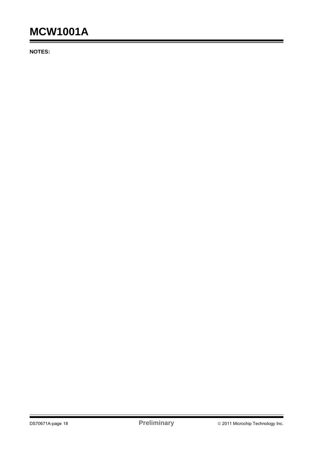**NOTES:**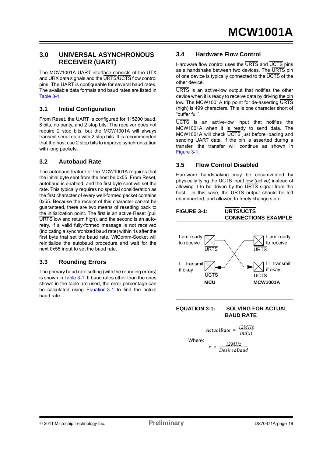#### <span id="page-18-0"></span>**3.0 UNIVERSAL ASYNCHRONOUS RECEIVER (UART)**

The MCW1001A UART interface consists of the UTX and URX data signals and the URTS/UCTS flow control pins. The UART is configurable for several baud rates. The available data formats and baud rates are listed in [Table](#page-19-0) 3-1.

#### **3.1 Initial Configuration**

From Reset, the UART is configured for 115200 baud, 8 bits, no parity, and 2 stop bits. The receiver does not require 2 stop bits, but the MCW1001A will always transmit serial data with 2 stop bits. It is recommended that the host use 2 stop bits to improve synchronization with long packets.

#### **3.2 Autobaud Rate**

The autobaud feature of the MCW1001A requires that the initial byte sent from the host be 0x55. From Reset, autobaud is enabled, and the first byte sent will set the rate. This typically requires no special consideration as the first character of every well-formed packet contains 0x55. Because the receipt of this character cannot be guaranteed, there are two means of resetting back to the initialization point. The first is an active Reset (pull URTS low and return high), and the second is an autoretry. If a valid fully-formed message is not received (indicating a synchronized baud rate) within 1s after the first byte that set the baud rate, WiComm-Socket will reinitialize the autobaud procedure and wait for the next 0x55 input to set the baud rate.

#### **3.3 Rounding Errors**

The primary baud rate setting (with the rounding errors) is shown in [Table](#page-19-0) 3-1. If baud rates other than the ones shown in the table are used, the error percentage can be calculated using [Equation](#page-18-1) 3-1 to find the actual baud rate.

#### **3.4 Hardware Flow Control**

Hardware flow control uses the URTS and UCTS pins as a handshake between two devices. The URTS pin of one device is typically connected to the UCTS of the other device.

URTS is an active-low output that notifies the other device when it is ready to receive data by driving the pin low. The MCW1001A trip point for de-asserting URTS (high) is 499 characters. This is one character short of "buffer full".

UCTS is an active-low input that notifies the MCW1001A when it is ready to send data. The MCW1001A will check UCTS just before loading and sending UART data. If the pin is asserted during a transfer, the transfer will continue as shown in [Figure](#page-18-2) 3-1.

#### **3.5 Flow Control Disabled**

Hardware handshaking may be circumvented by physically tying the UCTS input low (active) instead of allowing it to be driven by the URTS signal from the host. In this case, the URTS output should be left unconnected, and allowed to freely change state.

<span id="page-18-2"></span>

<span id="page-18-1"></span>
$$
ActualRate = \frac{l2MHz}{int(x)}
$$
  
Where:  

$$
x = \frac{l2MHz}{DesiredBaud}
$$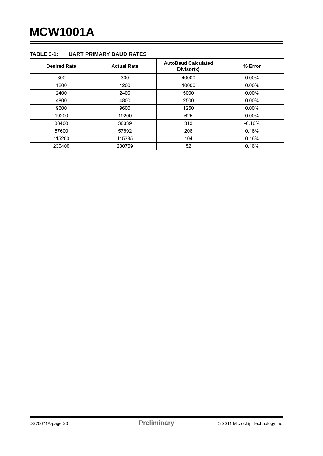#### <span id="page-19-0"></span>**TABLE 3-1: UART PRIMARY BAUD RATES**

| <b>Desired Rate</b> | <b>Actual Rate</b> | <b>AutoBaud Calculated</b><br>Divisor(x) | % Error  |
|---------------------|--------------------|------------------------------------------|----------|
| 300                 | 300                | 40000                                    | $0.00\%$ |
| 1200                | 1200               | 10000                                    | $0.00\%$ |
| 2400                | 2400               | 5000                                     | $0.00\%$ |
| 4800                | 4800               | 2500                                     | $0.00\%$ |
| 9600                | 9600               | 1250                                     | $0.00\%$ |
| 19200               | 19200              | 625                                      | $0.00\%$ |
| 38400               | 38339              | 313                                      | $-0.16%$ |
| 57600               | 57692              | 208                                      | 0.16%    |
| 115200              | 115385             | 104                                      | 0.16%    |
| 230400              | 230769             | 52                                       | 0.16%    |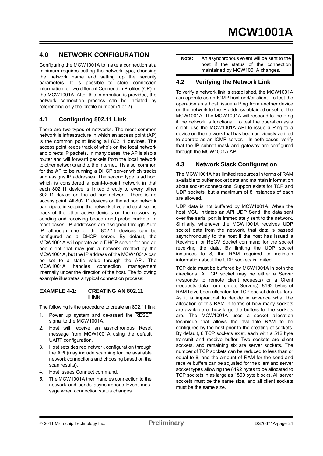#### <span id="page-20-0"></span>**4.0 NETWORK CONFIGURATION**

Configuring the MCW1001A to make a connection at a minimum requires setting the network type, choosing the network name and setting up the security parameters. It is possible to store connection information for two different Connection Profiles (CP) in the MCW1001A. After this information is provided, the network connection process can be initiated by referencing only the profile number (1 or 2).

#### **4.1 Configuring 802.11 Link**

There are two types of networks. The most common network is infrastructure in which an access point (AP) is the common point linking all 802.11 devices. The access point keeps track of who's on the local network and directs IP packets. In many cases, the AP is also a router and will forward packets from the local network to other networks and to the Internet. It is also common for the AP to be running a DHCP server which tracks and assigns IP addresses. The second type is ad hoc, which is considered a point-to-point network in that each 802.11 device is linked directly to every other 802.11 device on the ad hoc network. There is no access point. All 802.11 devices on the ad hoc network participate in keeping the network alive and each keeps track of the other active devices on the network by sending and receiving beacon and probe packets. In most cases, IP addresses are assigned through Auto IP, although one of the 802.11 devices can be configured as a DHCP server. By default, the MCW1001A will operate as a DHCP server for one ad hoc client that may join a network created by the MCW1001A, but the IP address of the MCW1001A can be set to a static value through the API. The MCW1001A handles connection management internally under the direction of the host. The following example illustrates a typical connection process:

#### **EXAMPLE 4-1: CREATING AN 802.11 LINK**

The following is the procedure to create an 802.11 link:

- 1. Power up system and de-assert the RESET signal to the MCW1001A.
- 2. Host will receive an asynchronous Reset message from MCW1001A using the default UART configuration.
- 3. Host sets desired network configuration through the API (may include scanning for the available network connections and choosing based on the scan results).
- 4. Host Issues Connect command.
- 5. The MCW1001A then handles connection to the network and sends asynchronous Event message when connection status changes.

#### **Note:** An asynchronous event will be sent to the host if the status of the connection maintained by MCW1001A changes.

#### **4.2 Verifying the Network Link**

To verify a network link is established, the MCW1001A can operate as an ICMP host and/or client. To test the operation as a host, issue a Ping from another device on the network to the IP address obtained or set for the MCW1001A. The MCW1001A will respond to the Ping if the network is functional. To test the operation as a client, use the MCW1001A API to issue a Ping to a device on the network that has been previously verified to operate as an ICMP server. In both cases, verify that the IP subnet mask and gateway are configured through the MCW1001A API.

#### **4.3 Network Stack Configuration**

The MCW1001A has limited resources in terms of RAM available to buffer socket data and maintain information about socket connections. Support exists for TCP and UDP sockets, but a maximum of 8 instances of each are allowed.

UDP data is not buffered by MCW1001A. When the host MCU initiates an API UDP Send, the data sent over the serial port is immediately sent to the network. Similarly, whenever the MCW1001A receives UDP socket data from the network, that data is passed asynchronously to the host if the host has issued a RecvFrom or RECV Socket command for the socket receiving the data. By limiting the UDP socket instances to 8, the RAM required to maintain information about the UDP sockets is limited.

TCP data must be buffered by MCW1001A in both the directions. A TCP socket may be either a Server (responds to remote client requests) or a Client (requests data from remote Servers). 8192 bytes of RAM have been allocated for TCP socket data buffers. As it is impractical to decide in advance what the allocation of this RAM in terms of how many sockets are available or how large the buffers for the sockets are. The MCW1001A uses a socket allocation technique that allows the available RAM to be configured by the host prior to the creating of sockets. By default, 8 TCP sockets exist, each with a 512 byte transmit and receive buffer. Two sockets are client sockets, and remaining six are server sockets. The number of TCP sockets can be reduced to less than or equal to 8, and the amount of RAM for the send and receive buffers can be adjusted for the client and server socket types allowing the 8192 bytes to be allocated to TCP sockets in as large as 1500 byte blocks. All server sockets must be the same size, and all client sockets must be the same size.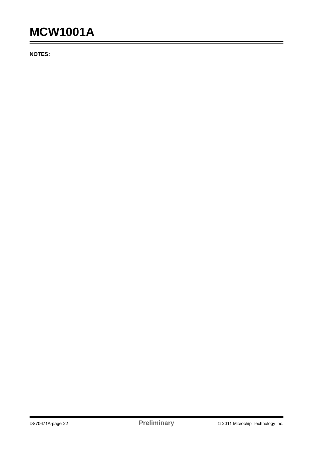## **MCW1001A**

**NOTES:**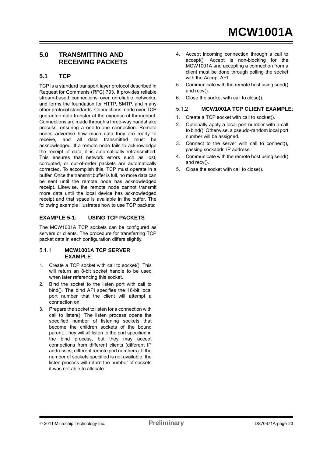#### <span id="page-22-0"></span>**5.0 TRANSMITTING AND RECEIVING PACKETS**

#### **5.1 TCP**

TCP is a standard transport layer protocol described in Request for Comments (RFC) 793. It provides reliable stream-based connections over unreliable networks, and forms the foundation for HTTP, SMTP, and many other protocol standards. Connections made over TCP guarantee data transfer at the expense of throughput. Connections are made through a three-way handshake process, ensuring a one-to-one connection. Remote nodes advertise how much data they are ready to receive, and all data transmitted must be acknowledged. If a remote node fails to acknowledge the receipt of data, it is automatically retransmitted. This ensures that network errors such as lost, corrupted, or out-of-order packets are automatically corrected. To accomplish this, TCP must operate in a buffer. Once the transmit buffer is full, no more data can be sent until the remote node has acknowledged receipt. Likewise, the remote node cannot transmit more data until the local device has acknowledged receipt and that space is available in the buffer. The following example illustrates how to use TCP packets:

#### **EXAMPLE 5-1: USING TCP PACKETS**

The MCW1001A TCP sockets can be configured as servers or clients. The procedure for transferring TCP packet data in each configuration differs slightly.

#### 5.1.1 **MCW1001A TCP SERVER EXAMPLE**:

- 1. Create a TCP socket with call to socket(). This will return an 8-bit socket handle to be used when later referencing this socket.
- 2. Bind the socket to the listen port with call to bind(). The bind API specifies the 16-bit local port number that the client will attempt a connection on.
- 3. Prepare the socket to listen for a connection with call to listen(). The listen process opens the specified number of listening sockets that become the children sockets of the bound parent. They will all listen to the port specified in the bind process, but they may accept connections from different clients (different IP addresses, different remote port numbers). If the number of sockets specified is not available, the listen process will return the number of sockets it was not able to allocate.
- 4. Accept incoming connection through a call to accept(). Accept is non-blocking for the MCW1001A and accepting a connection from a client must be done through polling the socket with the Accept API.
- 5. Communicate with the remote host using send() and recv().
- 6. Close the socket with call to close().

#### 5.1.2 **MCW1001A TCP CLIENT EXAMPLE**:

- 1. Create a TCP socket with call to socket().
- 2. Optionally apply a local port number with a call to bind(). Otherwise, a pseudo-random local port number will be assigned.
- 3. Connect to the server with call to connect(), passing sockaddr, IP address.
- 4. Communicate with the remote host using send() and recv().
- 5. Close the socket with call to close().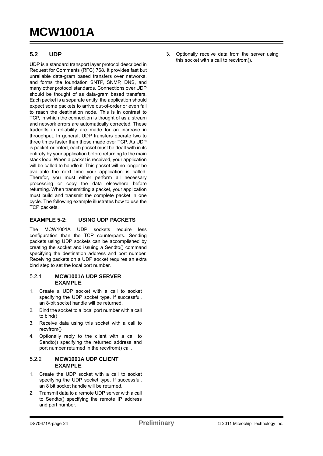#### **5.2 UDP**

UDP is a standard transport layer protocol described in Request for Comments (RFC) 768. It provides fast but unreliable data-gram based transfers over networks, and forms the foundation SNTP, SNMP, DNS, and many other protocol standards. Connections over UDP should be thought of as data-gram based transfers. Each packet is a separate entity, the application should expect some packets to arrive out-of-order or even fail to reach the destination node. This is in contrast to TCP, in which the connection is thought of as a stream and network errors are automatically corrected. These tradeoffs in reliability are made for an increase in throughput. In general, UDP transfers operate two to three times faster than those made over TCP. As UDP is packet-oriented, each packet must be dealt with in its entirety by your application before returning to the main stack loop. When a packet is received, your application will be called to handle it. This packet will no longer be available the next time your application is called. Therefor, you must either perform all necessary processing or copy the data elsewhere before returning. When transmitting a packet, your application must build and transmit the complete packet in one cycle. The following example illustrates how to use the TCP packets.

#### **EXAMPLE 5-2: USING UDP PACKETS**

The MCW1001A UDP sockets require less configuration than the TCP counterparts. Sending packets using UDP sockets can be accomplished by creating the socket and issuing a Sendto() command specifying the destination address and port number. Receiving packets on a UDP socket requires an extra bind step to set the local port number.

#### 5.2.1 **MCW1001A UDP SERVER EXAMPLE**:

- 1. Create a UDP socket with a call to socket specifying the UDP socket type. If successful, an 8-bit socket handle will be returned.
- 2. Bind the socket to a local port number with a call to bind()
- 3. Receive data using this socket with a call to recvfrom()
- 4. Optionally reply to the client with a call to Sendto() specifying the returned address and port number returned in the recvfrom() call.

#### 5.2.2 **MCW1001A UDP CLIENT EXAMPLE**:

- 1. Create the UDP socket with a call to socket specifying the UDP socket type. If successful, an 8 bit socket handle will be returned.
- 2. Transmit data to a remote UDP server with a call to Sendto() specifying the remote IP address and port number.

3. Optionally receive data from the server using this socket with a call to recvfrom().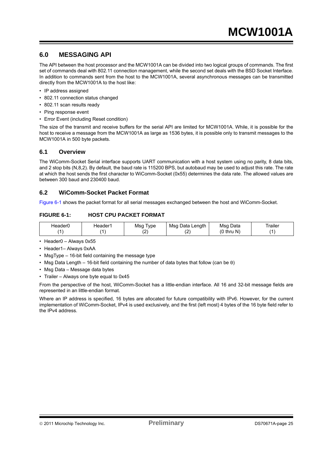#### <span id="page-24-1"></span><span id="page-24-0"></span>**6.0 MESSAGING API**

The API between the host processor and the MCW1001A can be divided into two logical groups of commands. The first set of commands deal with 802.11 connection management, while the second set deals with the BSD Socket Interface. In addition to commands sent from the host to the MCW1001A, several asynchronous messages can be transmitted directly from the MCW1001A to the host like:

- IP address assigned
- 802.11 connection status changed
- 802.11 scan results ready
- Ping response event
- Error Event (including Reset condition)

The size of the transmit and receive buffers for the serial API are limited for MCW1001A. While, it is possible for the host to receive a message from the MCW1001A as large as 1536 bytes, it is possible only to transmit messages to the MCW1001A in 500 byte packets.

#### **6.1 Overview**

The WiComm-Socket Serial interface supports UART communication with a host system using no parity, 8 data bits, and 2 stop bits (N,8,2). By default, the baud rate is 115200 BPS, but autobaud may be used to adjust this rate. The rate at which the host sends the first character to WiComm-Socket (0x55) determines the data rate. The allowed values are between 300 baud and 230400 baud.

#### **6.2 WiComm-Socket Packet Format**

[Figure](#page-24-2) 6-1 shows the packet format for all serial messages exchanged between the host and WiComm-Socket.

#### <span id="page-24-2"></span>**FIGURE 6-1: HOST CPU PACKET FORMAT**

| HeaderC        | Header <sup>*</sup> | Msa<br>l vpe                           | Msa<br>Data<br>Lenath | Msq<br>Data | Trailer |
|----------------|---------------------|----------------------------------------|-----------------------|-------------|---------|
| $\overline{A}$ | И                   | $\overline{\phantom{a}}$<br>. <u>.</u> | $\sqrt{2}$<br>. .     | N<br>thru   | 'n.     |

- Header0 Always 0x55
- Header1– Always 0xAA
- MsgType 16-bit field containing the message type
- Msg Data Length 16-bit field containing the number of data bytes that follow (can be 0)
- Msg Data Message data bytes
- Trailer Always one byte equal to 0x45

From the perspective of the host, WiComm-Socket has a little-endian interface. All 16 and 32-bit message fields are represented in an little-endian format.

Where an IP address is specified, 16 bytes are allocated for future compatibility with IPv6. However, for the current implementation of WiComm-Socket, IPv4 is used exclusively, and the first (left most) 4 bytes of the 16 byte field refer to the IPv4 address.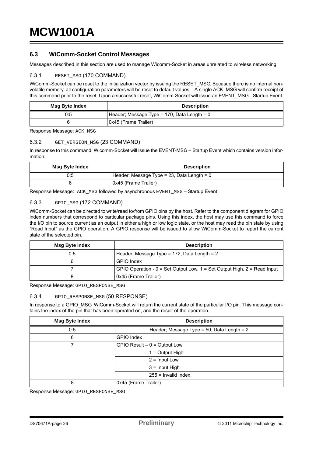#### **6.3 WiComm-Socket Control Messages**

Messages described in this section are used to manage Wicomm-Socket in areas unrelated to wireless networking.

#### 6.3.1 RESET\_MSG (170 COMMAND)

WiComm-Socket can be reset to the initialization vector by issuing the RESET\_MSG. Becasue there is no internal nonvolatile memory, all configuration parameters will be reset to default values. A single ACK\_MSG will confirm receipt of this command prior to the reset. Upon a successful reset, WiComm-Socket will issue an EVENT\_MSG - Startup Event.

| <b>Msg Byte Index</b> | <b>Description</b>                          |
|-----------------------|---------------------------------------------|
|                       | Header; Message Type = 170, Data Length = 0 |
|                       | 0x45 (Frame Trailer)                        |

Response Message: ACK\_MSG

#### 6.3.2 GET\_VERSION\_MSG (23 COMMAND)

In response to this command, Wicomm-Socket will issue the EVENT-MSG - Startup Event which contains version information.

| <b>Msg Byte Index</b> | <b>Description</b>                         |
|-----------------------|--------------------------------------------|
| 0:5                   | Header; Message Type = 23, Data Length = 0 |
|                       | Ox45 (Frame Trailer)                       |

Response Message: ACK\_MSG followed by asynchronous EVENT\_MSG – Startup Event

#### 6.3.3 GPIO\_MSG (172 COMMAND)

WiComm-Socket can be directed to write/read to/from GPIO pins by the host. Refer to the component diagram for GPIO index numbers that correspond to particular package pins. Using this index, the host may use this command to force the I/O pin to source current as an output in either a high or low logic state, or the host may read the pin state by using "Read Input" as the GPIO operation. A GPIO response will be issued to allow WiComm-Socket to report the current state of the selected pin.

| <b>Msg Byte Index</b> | <b>Description</b>                                                             |
|-----------------------|--------------------------------------------------------------------------------|
| 0:5                   | Header; Message Type = 172, Data Length = 2                                    |
| 6                     | GPIO Index                                                                     |
|                       | GPIO Operation - $0 = Set$ Output Low, $1 = Set$ Output High, $2 = Read$ Input |
|                       | 0x45 (Frame Trailer)                                                           |

Response Message: GPIO\_RESPONSE\_MSG

#### 6.3.4 GPIO\_RESPONSE\_MSG (50 RESPONSE)

In response to a GPIO\_MSG, WiComm-Socket will return the current state of the particular I/O pin. This message contains the index of the pin that has been operated on, and the result of the operation.

| <b>Msg Byte Index</b> | <b>Description</b>                           |
|-----------------------|----------------------------------------------|
| 0:5                   | Header; Message Type = 50, Data Length = $2$ |
| 6                     | <b>GPIO</b> Index                            |
|                       | GPIO Result $-0$ = Output Low                |
|                       | $1 =$ Output High                            |
|                       | $2 =$ Input Low                              |
|                       | $3 =$ Input High                             |
|                       | $255$ = Invalid Index                        |
| 8                     | 0x45 (Frame Trailer)                         |

Response Message: GPIO\_RESPONSE\_MSG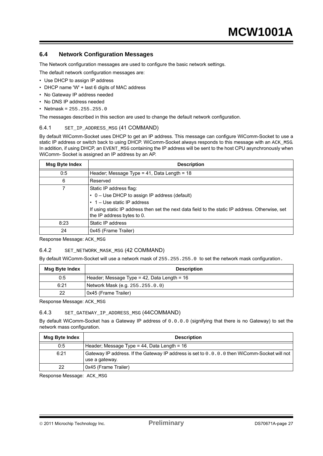#### **6.4 Network Configuration Messages**

The Network configuration messages are used to configure the basic network settings.

The default network configuration messages are:

- Use DHCP to assign IP address
- DHCP name 'W' + last 6 digits of MAC address
- No Gateway IP address needed
- No DNS IP address needed
- Netmask = 255.255.255.0

The messages described in this section are used to change the default network configuration.

#### 6.4.1 SET\_IP\_ADDRESS\_MSG (41 COMMAND)

By default WiComm-Socket uses DHCP to get an IP address. This message can configure WiComm-Socket to use a static IP address or switch back to using DHCP. WiComm-Socket always responds to this message with an ACK\_MSG. In addition, if using DHCP, an EVENT\_MSG containing the IP address will be sent to the host CPU asynchronously when WiComm- Socket is assigned an IP address by an AP.

| Msg Byte Index | <b>Description</b>                                                                               |
|----------------|--------------------------------------------------------------------------------------------------|
| 0:5            | Header; Message Type = 41, Data Length = 18                                                      |
| 6              | Reserved                                                                                         |
|                | Static IP address flag:                                                                          |
|                | • 0 – Use DHCP to assign IP address (default)                                                    |
|                | $\cdot$ 1 – Use static IP address                                                                |
|                | If using static IP address then set the next data field to the static IP address. Otherwise, set |
|                | the IP address bytes to 0.                                                                       |
| 8:23           | Static IP address                                                                                |
| 24             | 0x45 (Frame Trailer)                                                                             |

Response Message: ACK\_MSG

#### 6.4.2 SET\_NETWORK\_MASK\_MSG (42 COMMAND)

By default WiComm-Socket will use a network mask of 255.255.255.0 to set the network mask configuration.

| <b>Msg Byte Index</b> | <b>Description</b>                               |
|-----------------------|--------------------------------------------------|
| 0:5                   | Header; Message Type = $42$ , Data Length = $16$ |
| 6:21                  | Network Mask (e.g. 255.255.0.0)                  |
| 22                    | 0x45 (Frame Trailer)                             |

Response Message: ACK\_MSG

#### 6.4.3 SET\_GATEWAY\_IP\_ADDRESS\_MSG (44COMMAND)

By default WiComm-Socket has a Gateway IP address of 0.0.0.0 (signifying that there is no Gateway) to set the network mass configuration.

| <b>Msg Byte Index</b> | <b>Description</b>                                                                                            |
|-----------------------|---------------------------------------------------------------------------------------------------------------|
| 0:5                   | Header; Message Type = $44$ , Data Length = $16$                                                              |
| 6:21                  | Gateway IP address. If the Gateway IP address is set to 0,0,0,0 then WiComm-Socket will not<br>use a gateway. |
| 22                    | 0x45 (Frame Trailer)                                                                                          |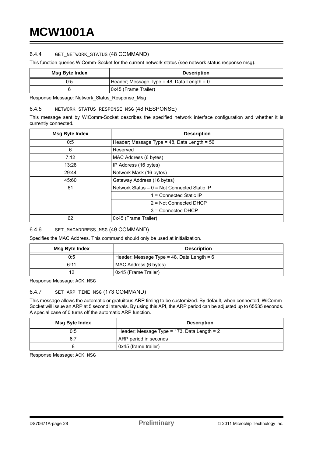#### 6.4.4 GET\_NETWORK\_STATUS (48 COMMAND)

This function queries WiComm-Socket for the current network status (see network status response msg).

| <b>Msg Byte Index</b> | <b>Description</b>                         |
|-----------------------|--------------------------------------------|
| 0:5                   | Header; Message Type = 48, Data Length = 0 |
|                       | 0x45 (Frame Trailer)                       |

Response Message: Network\_Status\_Response\_Msg

#### 6.4.5 NETWORK\_STATUS\_RESPONSE\_MSG (48 RESPONSE)

This message sent by WiComm-Socket describes the specified network interface configuration and whether it is currently connected.

| <b>Msg Byte Index</b> | <b>Description</b>                            |
|-----------------------|-----------------------------------------------|
| 0:5                   | Header; Message Type = 48, Data Length = 56   |
| 6                     | Reserved                                      |
| 7:12                  | MAC Address (6 bytes)                         |
| 13:28                 | IP Address (16 bytes)                         |
| 29:44                 | Network Mask (16 bytes)                       |
| 45:60                 | Gateway Address (16 bytes)                    |
| 61                    | Network Status $-0$ = Not Connected Static IP |
|                       | $1 =$ Connected Static IP                     |
|                       | 2 = Not Connected DHCP                        |
|                       | $3 =$ Connected DHCP                          |
| 62                    | 0x45 (Frame Trailer)                          |

#### 6.4.6 SET\_MACADDRESS\_MSG (49 COMMAND)

Specifies the MAC Address. This command should only be used at initialization.

| <b>Msg Byte Index</b> | <b>Description</b>                         |
|-----------------------|--------------------------------------------|
| 0:5                   | Header; Message Type = 48, Data Length = 6 |
| 6:11                  | MAC Address (6 bytes)                      |
| 12                    | 0x45 (Frame Trailer)                       |

Response Message: ACK\_MSG

#### 6.4.7 SET\_ARP\_TIME\_MSG (173 COMMAND)

This message allows the automatic or gratuitous ARP timing to be customized. By default, when connected, WiComm-Socket will issue an ARP at 5 second intervals. By using this API, the ARP period can be adjusted up to 65535 seconds. A special case of 0 turns off the automatic ARP function.

| <b>Msg Byte Index</b> | <b>Description</b>                          |
|-----------------------|---------------------------------------------|
| 0:5                   | Header; Message Type = 173, Data Length = 2 |
| 6:7                   | <b>ARP</b> period in seconds                |
|                       | 0x45 (frame trailer)                        |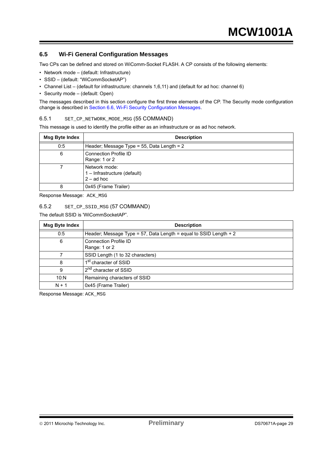#### **6.5 Wi-Fi General Configuration Messages**

Two CPs can be defined and stored on WiComm-Socket FLASH. A CP consists of the following elements:

- Network mode (default: Infrastructure)
- SSID (default: "WiCommSocketAP")
- Channel List (default for infrastructure: channels 1,6,11) and (default for ad hoc: channel 6)
- Security mode (default: Open)

The messages described in this section configure the first three elements of the CP. The Security mode configuration change is described in Section [6.6, Wi-Fi Security Configuration Messages.](#page-30-0)

#### 6.5.1 SET\_CP\_NETWORK\_MODE\_MSG (55 COMMAND)

This message is used to identify the profile either as an infrastructure or as ad hoc network.

| <b>Msg Byte Index</b> | <b>Description</b>                                            |
|-----------------------|---------------------------------------------------------------|
| 0:5                   | Header; Message Type = 55, Data Length = 2                    |
| 6                     | <b>Connection Profile ID</b><br>Range: 1 or 2                 |
|                       | Network mode:<br>1 - Infrastructure (default)<br>$2 - ad hoc$ |
| 8                     | 0x45 (Frame Trailer)                                          |

Response Message: ACK\_MSG

#### 6.5.2 SET\_CP\_SSID\_MSG (57 COMMAND)

The default SSID is 'WiCommSocketAP".

| <b>Msg Byte Index</b> | <b>Description</b>                                                  |
|-----------------------|---------------------------------------------------------------------|
| 0:5                   | Header; Message Type = 57, Data Length = equal to SSID Length $+ 2$ |
| 6                     | Connection Profile ID<br>Range: 1 or 2                              |
|                       | SSID Length (1 to 32 characters)                                    |
| 8                     | 1 <sup>st</sup> character of SSID                                   |
| 9                     | 2 <sup>nd</sup> character of SSID                                   |
| 10:N                  | Remaining characters of SSID                                        |
| $N + 1$               | 0x45 (Frame Trailer)                                                |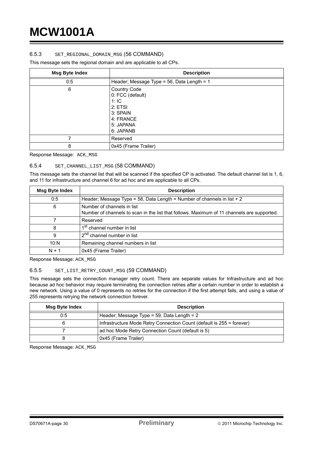#### 6.5.3 SET\_REGIONAL\_DOMAIN\_MSG (56 COMMAND)

This message sets the regional domain and are applicable to all CPs.

| <b>Msg Byte Index</b> | <b>Description</b>                                                                                            |
|-----------------------|---------------------------------------------------------------------------------------------------------------|
| 0:5                   | Header; Message Type = 56, Data Length = 1                                                                    |
| 6                     | <b>Country Code</b><br>0: FCC (default)<br>1:IC<br>2: ETSI<br>3: SPAIN<br>4: FRANCE<br>5: JAPANA<br>6: JAPANB |
|                       | Reserved                                                                                                      |
| 8                     | 0x45 (Frame Trailer)                                                                                          |

Response Message: ACK\_MSG

#### 6.5.4 SET\_CHANNEL\_LIST\_MSG (58 COMMAND)

This message sets the channel list that will be scanned if the specified CP is activated. The default channel list is 1, 6, and 11 for infrastructure and channel 6 for ad hoc and are applicable to all CPs.

| <b>Msq Byte Index</b> | <b>Description</b>                                                                                                       |
|-----------------------|--------------------------------------------------------------------------------------------------------------------------|
| 0:5                   | Header; Message Type = 58, Data Length = Number of channels in list $+ 2$                                                |
| 6                     | Number of channels in list<br>Number of channels to scan in the list that follows. Maximum of 11 channels are supported. |
|                       | Reserved                                                                                                                 |
| 8                     | 1 <sup>st</sup> channel number in list                                                                                   |
| 9                     | 2 <sup>nd</sup> channel number in list                                                                                   |
| 10:N                  | Remaining channel numbers in list                                                                                        |
| $N + 1$               | 0x45 (Frame Trailer)                                                                                                     |

Response Message: ACK\_MSG

#### 6.5.5 SET\_LIST\_RETRY\_COUNT\_MSG (59 COMMAND)

This message sets the connection manager retry count. There are separate values for Infrastructure and ad hoc because ad hoc behavior may require terminating the connection retries after a certain number in order to establish a new network. Using a value of 0 represents no retries for the connection if the first attempt fails, and using a value of 255 represents retrying the network connection forever.

| <b>Msg Byte Index</b> | <b>Description</b>                                                    |  |  |  |
|-----------------------|-----------------------------------------------------------------------|--|--|--|
| 0:5                   | Header; Message Type = 59, Data Length = 2                            |  |  |  |
|                       | Infrastructure Mode Retry Connection Count (default is 255 = forever) |  |  |  |
|                       | ad hoc Mode Retry Connection Count (default is 5)                     |  |  |  |
|                       | 0x45 (Frame Trailer)                                                  |  |  |  |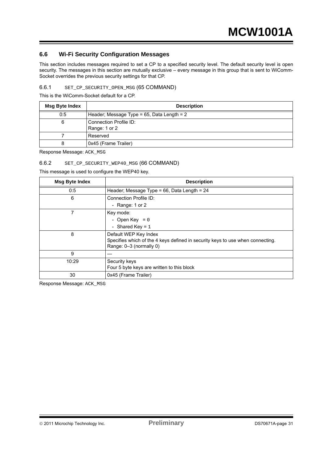#### <span id="page-30-0"></span>**6.6 Wi-Fi Security Configuration Messages**

This section includes messages required to set a CP to a specified security level. The default security level is open security. The messages in this section are mutually exclusive – every message in this group that is sent to WiComm-Socket overrides the previous security settings for that CP.

#### 6.6.1 SET\_CP\_SECURITY\_OPEN\_MSG (65 COMMAND)

This is the WiComm-Socket default for a CP.

| Msg Byte Index | <b>Description</b>                         |  |  |  |
|----------------|--------------------------------------------|--|--|--|
| 0:5            | Header; Message Type = 65, Data Length = 2 |  |  |  |
| 6              | Connection Profile ID:<br>Range: 1 or 2    |  |  |  |
|                | Reserved                                   |  |  |  |
| 8              | 0x45 (Frame Trailer)                       |  |  |  |

Response Message: ACK\_MSG

#### 6.6.2 SET\_CP\_SECURITY\_WEP40\_MSG (66 COMMAND)

This message is used to configure the WEP40 key.

| <b>Msg Byte Index</b> | <b>Description</b>                                                                                                                 |  |  |  |
|-----------------------|------------------------------------------------------------------------------------------------------------------------------------|--|--|--|
| 0:5                   | Header; Message Type = 66, Data Length = 24                                                                                        |  |  |  |
| 6                     | Connection Profile ID:                                                                                                             |  |  |  |
|                       | - Range: 1 or 2                                                                                                                    |  |  |  |
| 7                     | Key mode:                                                                                                                          |  |  |  |
|                       | - Open Key = $0$                                                                                                                   |  |  |  |
|                       | - Shared Key = $1$                                                                                                                 |  |  |  |
| 8                     | Default WEP Key Index<br>Specifies which of the 4 keys defined in security keys to use when connecting.<br>Range: 0-3 (normally 0) |  |  |  |
| 9                     |                                                                                                                                    |  |  |  |
| 10:29                 | Security keys                                                                                                                      |  |  |  |
|                       | Four 5 byte keys are written to this block                                                                                         |  |  |  |
| 30                    | 0x45 (Frame Trailer)                                                                                                               |  |  |  |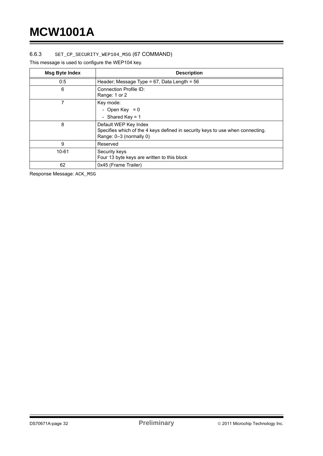#### 6.6.3 SET\_CP\_SECURITY\_WEP104\_MSG (67 COMMAND)

This message is used to configure the WEP104 key.

| <b>Msg Byte Index</b> | <b>Description</b>                                                                                                                 |  |  |  |
|-----------------------|------------------------------------------------------------------------------------------------------------------------------------|--|--|--|
| 0:5                   | Header; Message Type = 67, Data Length = 56                                                                                        |  |  |  |
| 6                     | Connection Profile ID:<br>Range: 1 or 2                                                                                            |  |  |  |
|                       | Key mode:<br>- Open Key = $0$<br>- Shared Key = $1$                                                                                |  |  |  |
| 8                     | Default WEP Key Index<br>Specifies which of the 4 keys defined in security keys to use when connecting.<br>Range: 0-3 (normally 0) |  |  |  |
| 9                     | Reserved                                                                                                                           |  |  |  |
| 10-61                 | Security keys<br>Four 13 byte keys are written to this block                                                                       |  |  |  |
| 62                    | 0x45 (Frame Trailer)                                                                                                               |  |  |  |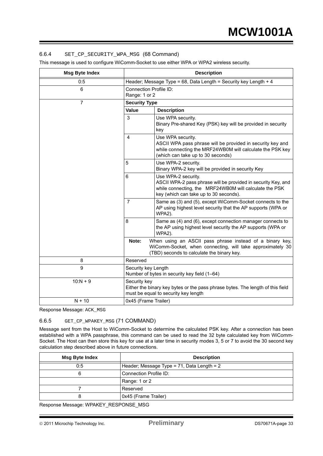#### 6.6.4 SET\_CP\_SECURITY\_WPA\_MSG (68 Command)

This message is used to configure WiComm-Socket to use either WPA or WPA2 wireless security.

| <b>Msg Byte Index</b> | <b>Description</b>                                                                                                                                                            |                                                                                                                                                                                          |  |  |
|-----------------------|-------------------------------------------------------------------------------------------------------------------------------------------------------------------------------|------------------------------------------------------------------------------------------------------------------------------------------------------------------------------------------|--|--|
| 0:5                   | Header; Message Type = 68, Data Length = Security key Length + 4                                                                                                              |                                                                                                                                                                                          |  |  |
| 6                     | <b>Connection Profile ID:</b><br>Range: 1 or 2                                                                                                                                |                                                                                                                                                                                          |  |  |
| $\overline{7}$        | <b>Security Type</b>                                                                                                                                                          |                                                                                                                                                                                          |  |  |
|                       | Value                                                                                                                                                                         | <b>Description</b>                                                                                                                                                                       |  |  |
|                       | 3                                                                                                                                                                             | Use WPA security.<br>Binary Pre-shared Key (PSK) key will be provided in security<br>key                                                                                                 |  |  |
|                       | $\overline{\mathbf{4}}$                                                                                                                                                       | Use WPA security.<br>ASCII WPA pass phrase will be provided in security key and<br>while connecting the MRF24WB0M will calculate the PSK key<br>(which can take up to 30 seconds)        |  |  |
|                       | 5                                                                                                                                                                             | Use WPA-2 security.<br>Binary WPA-2 key will be provided in security Key                                                                                                                 |  |  |
|                       | 6                                                                                                                                                                             | Use WPA-2 security.<br>ASCII WPA-2 pass phrase will be provided in security Key, and<br>while connecting, the MRF24WB0M will calculate the PSK<br>key (which can take up to 30 seconds). |  |  |
|                       | $\overline{7}$                                                                                                                                                                | Same as (3) and (5), except WiComm-Socket connects to the<br>AP using highest level security that the AP supports (WPA or<br><b>WPA2).</b>                                               |  |  |
|                       | 8                                                                                                                                                                             | Same as (4) and (6), except connection manager connects to<br>the AP using highest level security the AP supports (WPA or<br><b>WPA2).</b>                                               |  |  |
|                       | Note:<br>When using an ASCII pass phrase instead of a binary key,<br>WiComm-Socket, when connecting, will take approximately 30<br>(TBD) seconds to calculate the binary key. |                                                                                                                                                                                          |  |  |
| 8                     | Reserved                                                                                                                                                                      |                                                                                                                                                                                          |  |  |
| 9                     | Security key Length<br>Number of bytes in security key field (1-64)                                                                                                           |                                                                                                                                                                                          |  |  |
| $10:N + 9$            | Security key<br>Either the binary key bytes or the pass phrase bytes. The length of this field<br>must be equal to security key length                                        |                                                                                                                                                                                          |  |  |
| $N + 10$              | 0x45 (Frame Trailer)                                                                                                                                                          |                                                                                                                                                                                          |  |  |

Response Message: ACK\_MSG

#### 6.6.5 GET\_CP\_WPAKEY\_MSG (71 COMMAND)

Message sent from the Host to WiComm-Socket to determine the calculated PSK key. After a connection has been established with a WPA passphrase, this command can be used to read the 32 byte calculated key from WiComm-Socket. The Host can then store this key for use at a later time in security modes 3, 5 or 7 to avoid the 30 second key calculation step described above in future connections.

| Msg Byte Index | <b>Description</b>                         |
|----------------|--------------------------------------------|
| 0:5            | Header; Message Type = 71, Data Length = 2 |
| 6              | Connection Profile ID:                     |
|                | Range: 1 or 2                              |
|                | Reserved                                   |
|                | 0x45 (Frame Trailer)                       |

Response Message: WPAKEY\_RESPONSE\_MSG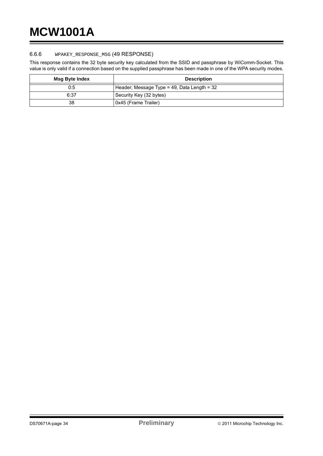#### 6.6.6 WPAKEY\_RESPONSE\_MSG (49 RESPONSE)

This response contains the 32 byte security key calculated from the SSID and passphrase by WiComm-Socket. This value is only valid if a connection based on the supplied passphrase has been made in one of the WPA security modes.

| <b>Msg Byte Index</b> | <b>Description</b>                               |
|-----------------------|--------------------------------------------------|
| 0:5                   | Header; Message Type = $49$ , Data Length = $32$ |
| 6:37                  | Security Key (32 bytes)                          |
| 38                    | 0x45 (Frame Trailer)                             |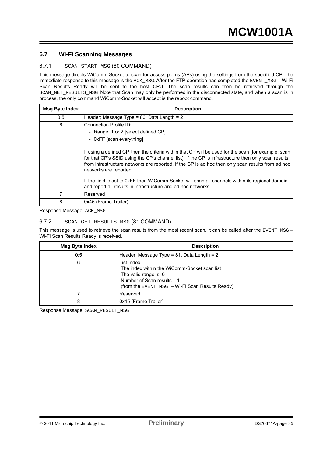#### **6.7 Wi-Fi Scanning Messages**

#### 6.7.1 SCAN\_START\_MSG (80 COMMAND)

This message directs WiComm-Socket to scan for access points (APs) using the settings from the specified CP. The immediate response to this message is the ACK\_MSG. After the FTP operation has completed the EVENT\_MSG – Wi-Fi Scan Results Ready will be sent to the host CPU. The scan results can then be retrieved through the SCAN\_GET\_RESULTS\_MSG. Note that Scan may only be performed in the disconnected state, and when a scan is in process, the only command WiComm-Socket will accept is the reboot command.

| <b>Msg Byte Index</b> | <b>Description</b>                                                                                                                                                                                                                                                                                                                         |  |  |  |  |
|-----------------------|--------------------------------------------------------------------------------------------------------------------------------------------------------------------------------------------------------------------------------------------------------------------------------------------------------------------------------------------|--|--|--|--|
| 0:5                   | Header; Message Type = 80, Data Length = $2$                                                                                                                                                                                                                                                                                               |  |  |  |  |
| 6                     | Connection Profile ID:                                                                                                                                                                                                                                                                                                                     |  |  |  |  |
|                       | - Range: 1 or 2 [select defined CP]                                                                                                                                                                                                                                                                                                        |  |  |  |  |
|                       | - 0xFF [scan everything]                                                                                                                                                                                                                                                                                                                   |  |  |  |  |
|                       | If using a defined CP, then the criteria within that CP will be used for the scan (for example: scan<br>for that CP's SSID using the CP's channel list). If the CP is infrastructure then only scan results<br>from infrastructure networks are reported. If the CP is ad hoc then only scan results from ad hoc<br>networks are reported. |  |  |  |  |
|                       | If the field is set to 0xFF then WiComm-Socket will scan all channels within its regional domain<br>and report all results in infrastructure and ad hoc networks.                                                                                                                                                                          |  |  |  |  |
|                       | Reserved                                                                                                                                                                                                                                                                                                                                   |  |  |  |  |
| 8                     | 0x45 (Frame Trailer)                                                                                                                                                                                                                                                                                                                       |  |  |  |  |

Response Message: ACK\_MSG

#### 6.7.2 SCAN\_GET\_RESULTS\_MSG (81 COMMAND)

This message is used to retrieve the scan results from the most recent scan. It can be called after the EVENT\_MSG – Wi-Fi Scan Results Ready is received.

| <b>Msg Byte Index</b> | <b>Description</b>                                                                                                                                                     |
|-----------------------|------------------------------------------------------------------------------------------------------------------------------------------------------------------------|
| 0:5                   | Header; Message Type = $81$ , Data Length = $2$                                                                                                                        |
| 6                     | List Index<br>The index within the WiComm-Socket scan list<br>The valid range is: 0<br>Number of Scan results - 1<br>(from the $EVENT_MSG - Wi-Fi$ Scan Results Ready) |
|                       | Reserved                                                                                                                                                               |
| 8                     | 0x45 (Frame Trailer)                                                                                                                                                   |

Response Message: SCAN\_RESULT\_MSG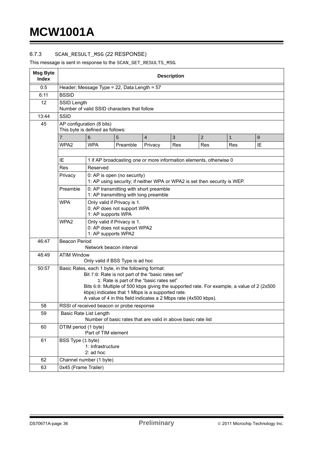#### 6.7.3 SCAN\_RESULT\_MSG (22 RESPONSE)

This message is sent in response to the SCAN\_GET\_RESULTS\_MSG.

| <b>Msg Byte</b><br><b>Index</b> | <b>Description</b>                                                                                                                                                                                                                                                                                                                                                         |                                                                                   |                                                                                                          |                |     |                |              |             |
|---------------------------------|----------------------------------------------------------------------------------------------------------------------------------------------------------------------------------------------------------------------------------------------------------------------------------------------------------------------------------------------------------------------------|-----------------------------------------------------------------------------------|----------------------------------------------------------------------------------------------------------|----------------|-----|----------------|--------------|-------------|
| 0:5                             | Header; Message Type = 22, Data Length = 57                                                                                                                                                                                                                                                                                                                                |                                                                                   |                                                                                                          |                |     |                |              |             |
| 6:11                            | <b>BSSID</b>                                                                                                                                                                                                                                                                                                                                                               |                                                                                   |                                                                                                          |                |     |                |              |             |
| 12                              |                                                                                                                                                                                                                                                                                                                                                                            | SSID Length<br>Number of valid SSID characters that follow                        |                                                                                                          |                |     |                |              |             |
| 13:44                           | SSID                                                                                                                                                                                                                                                                                                                                                                       |                                                                                   |                                                                                                          |                |     |                |              |             |
| 45                              |                                                                                                                                                                                                                                                                                                                                                                            | AP configuration (8 bits)<br>This byte is defined as follows:                     |                                                                                                          |                |     |                |              |             |
|                                 | 7                                                                                                                                                                                                                                                                                                                                                                          | 6                                                                                 | 5                                                                                                        | $\overline{4}$ | 3   | $\overline{2}$ | $\mathbf{1}$ | $\mathbf 0$ |
|                                 | WPA2                                                                                                                                                                                                                                                                                                                                                                       | <b>WPA</b>                                                                        | Preamble                                                                                                 | Privacy        | Res | Res            | Res          | IE          |
|                                 |                                                                                                                                                                                                                                                                                                                                                                            |                                                                                   |                                                                                                          |                |     |                |              |             |
|                                 | IE                                                                                                                                                                                                                                                                                                                                                                         |                                                                                   | 1 if AP broadcasting one or more information elements, otherwise 0                                       |                |     |                |              |             |
|                                 | <b>Res</b>                                                                                                                                                                                                                                                                                                                                                                 | Reserved                                                                          |                                                                                                          |                |     |                |              |             |
|                                 | Privacy                                                                                                                                                                                                                                                                                                                                                                    |                                                                                   | 0: AP is open (no security)<br>1: AP using security; if neither WPA or WPA2 is set then security is WEP. |                |     |                |              |             |
|                                 | Preamble                                                                                                                                                                                                                                                                                                                                                                   | 0: AP transmitting with short preamble<br>1: AP transmitting with long preamble   |                                                                                                          |                |     |                |              |             |
|                                 | <b>WPA</b>                                                                                                                                                                                                                                                                                                                                                                 | Only valid if Privacy is 1.<br>0: AP does not support WPA<br>1: AP supports WPA   |                                                                                                          |                |     |                |              |             |
|                                 | WPA2                                                                                                                                                                                                                                                                                                                                                                       | Only valid if Privacy is 1.<br>0: AP does not support WPA2<br>1: AP supports WPA2 |                                                                                                          |                |     |                |              |             |
| 46:47                           |                                                                                                                                                                                                                                                                                                                                                                            | <b>Beacon Period</b><br>Network beacon interval                                   |                                                                                                          |                |     |                |              |             |
| 48:49                           |                                                                                                                                                                                                                                                                                                                                                                            | <b>ATIM Window</b><br>Only valid if BSS Type is ad hoc                            |                                                                                                          |                |     |                |              |             |
| 50:57                           | Basic Rates, each 1 byte, in the following format:<br>Bit 7:0: Rate is not part of the "basic rates set"<br>1: Rate is part of the "basic rates set"<br>Bits 6:0: Multiple of 500 kbps giving the supported rate. For example, a value of 2 (2x500<br>kbps) indicates that 1 Mbps is a supported rate.<br>A value of 4 in this field indicates a 2 Mbps rate (4x500 kbps). |                                                                                   |                                                                                                          |                |     |                |              |             |
| 58                              | RSSI of received beacon or probe response                                                                                                                                                                                                                                                                                                                                  |                                                                                   |                                                                                                          |                |     |                |              |             |
| 59                              | Basic Rate List Length<br>Number of basic rates that are valid in above basic rate list                                                                                                                                                                                                                                                                                    |                                                                                   |                                                                                                          |                |     |                |              |             |
| 60                              | DTIM period (1 byte)<br>Part of TIM element                                                                                                                                                                                                                                                                                                                                |                                                                                   |                                                                                                          |                |     |                |              |             |
| 61                              | BSS Type (1 byte)<br>1: Infrastructure<br>2:ad hoc                                                                                                                                                                                                                                                                                                                         |                                                                                   |                                                                                                          |                |     |                |              |             |
| 62                              | Channel number (1 byte)                                                                                                                                                                                                                                                                                                                                                    |                                                                                   |                                                                                                          |                |     |                |              |             |
| 63                              | 0x45 (Frame Trailer)                                                                                                                                                                                                                                                                                                                                                       |                                                                                   |                                                                                                          |                |     |                |              |             |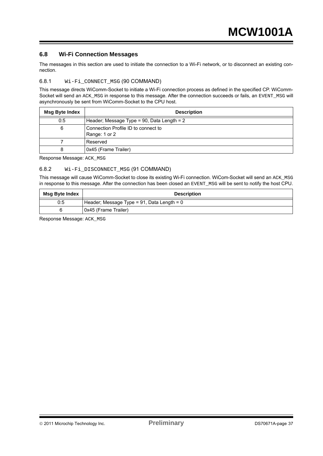#### **6.8 Wi-Fi Connection Messages**

The messages in this section are used to initiate the connection to a Wi-Fi network, or to disconnect an existing connection.

#### 6.8.1 Wi-Fi\_CONNECT\_MSG (90 COMMAND)

This message directs WiComm-Socket to initiate a Wi-Fi connection process as defined in the specified CP. WiComm-Socket will send an ACK\_MSG in response to this message. After the connection succeeds or fails, an EVENT\_MSG will asynchronously be sent from WiComm-Socket to the CPU host.

| <b>Msg Byte Index</b> | <b>Description</b>                                        |  |  |
|-----------------------|-----------------------------------------------------------|--|--|
| 0:5                   | Header; Message Type = 90, Data Length = $2 \overline{ }$ |  |  |
| 6                     | Connection Profile ID to connect to<br>Range: 1 or 2      |  |  |
|                       | Reserved                                                  |  |  |
| 8                     | 0x45 (Frame Trailer)                                      |  |  |

Response Message: ACK\_MSG

#### 6.8.2 Wi-Fi\_DISCONNECT\_MSG (91 COMMAND)

This message will cause WiComm-Socket to close its existing Wi-Fi connection. WiCom-Socket will send an ACK\_MSG in response to this message. After the connection has been closed an EVENT\_MSG will be sent to notify the host CPU.

| Msg Byte Index | <b>Description</b>                           |
|----------------|----------------------------------------------|
| 0:5            | Header; Message Type = 91, Data Length = $0$ |
| 6              | 0x45 (Frame Trailer)                         |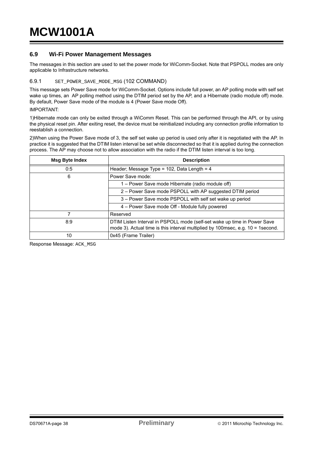#### **6.9 Wi-Fi Power Management Messages**

The messages in this section are used to set the power mode for WiComm-Socket. Note that PSPOLL modes are only applicable to Infrastructure networks.

#### 6.9.1 SET\_POWER\_SAVE\_MODE\_MSG (102 COMMAND)

This message sets Power Save mode for WiComm-Socket. Options include full power, an AP polling mode with self set wake up times, an AP polling method using the DTIM period set by the AP, and a Hibernate (radio module off) mode. By default, Power Save mode of the module is 4 (Power Save mode Off).

#### IMPORTANT:

1)Hibernate mode can only be exited through a WiComm Reset. This can be performed through the API, or by using the physical reset pin. After exiting reset, the device must be reinitialized including any connection profile information to reestablish a connection.

2)When using the Power Save mode of 3, the self set wake up period is used only after it is negotiated with the AP. In practice it is suggested that the DTIM listen interval be set while disconnected so that it is applied during the connection process. The AP may choose not to allow association with the radio if the DTIM listen interval is too long.

| <b>Msg Byte Index</b> | <b>Description</b>                                                                                                                                             |
|-----------------------|----------------------------------------------------------------------------------------------------------------------------------------------------------------|
| 0:5                   | Header; Message Type = 102, Data Length = 4                                                                                                                    |
| 6                     | Power Save mode:                                                                                                                                               |
|                       | 1 – Power Save mode Hibernate (radio module off)                                                                                                               |
|                       | 2 – Power Save mode PSPOLL with AP suggested DTIM period                                                                                                       |
|                       | 3 – Power Save mode PSPOLL with self set wake up period                                                                                                        |
|                       | 4 – Power Save mode Off - Module fully powered                                                                                                                 |
|                       | Reserved                                                                                                                                                       |
| 8:9                   | DTIM Listen Interval in PSPOLL mode (self-set wake up time in Power Save<br>mode 3). Actual time is this interval multiplied by 100msec, e.g. $10 = 1$ second. |
| 10                    | 0x45 (Frame Trailer)                                                                                                                                           |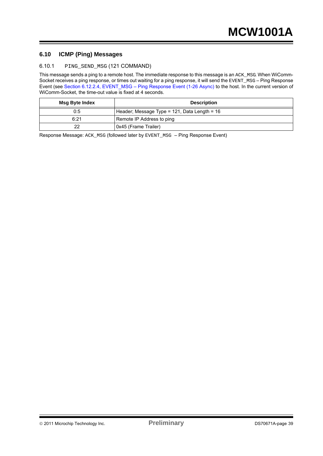#### **6.10 ICMP (Ping) Messages**

#### 6.10.1 PING\_SEND\_MSG (121 COMMAND)

This message sends a ping to a remote host. The immediate response to this message is an ACK\_MSG. When WiComm-Socket receives a ping response, or times out waiting for a ping response, it will send the EVENT\_MSG – Ping Response Event (see Section 6.12.2.4, EVENT\_MSG – Ping Response Event (1-26 Async) to the host. In the current version of WiComm-Socket, the time-out value is fixed at 4 seconds.

| <b>Msg Byte Index</b> | <b>Description</b>                           |
|-----------------------|----------------------------------------------|
| 0:5                   | Header; Message Type = 121, Data Length = 16 |
| 6:21                  | Remote IP Address to ping                    |
| 22                    | 0x45 (Frame Trailer)                         |

Response Message: ACK\_MSG (followed later by EVENT\_MSG – Ping Response Event)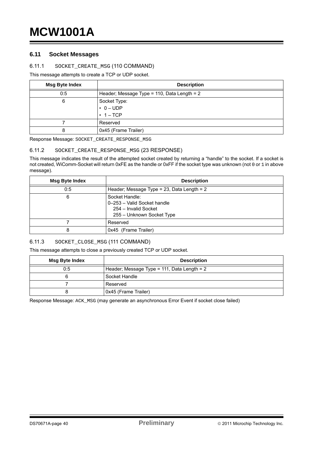#### **6.11 Socket Messages**

#### 6.11.1 SOCKET\_CREATE\_MSG (110 COMMAND)

This message attempts to create a TCP or UDP socket.

| <b>Msg Byte Index</b> | <b>Description</b>                                         |
|-----------------------|------------------------------------------------------------|
| 0:5                   | Header; Message Type = 110, Data Length = $2 \overline{ }$ |
| 6                     | Socket Type:<br>$\cdot$ 0 - UDP<br>$\cdot$ 1 – TCP         |
|                       | Reserved                                                   |
| 8                     | 0x45 (Frame Trailer)                                       |

Response Message: SOCKET\_CREATE\_RESPONSE\_MSG

#### 6.11.2 SOCKET\_CREATE\_RESPONSE\_MSG (23 RESPONSE)

This message indicates the result of the attempted socket created by returning a "handle" to the socket. If a socket is not created, WiComm-Socket will return 0xFE as the handle or 0xFF if the socket type was unknown (not 0 or 1 in above message).

| <b>Msg Byte Index</b> | <b>Description</b>                                                                                 |
|-----------------------|----------------------------------------------------------------------------------------------------|
| 0:5                   | Header; Message Type = 23, Data Length = $2 \overline{ }$                                          |
| 6                     | Socket Handle:<br>0-253 - Valid Socket handle<br>254 – Invalid Socket<br>255 - Unknown Socket Type |
|                       | Reserved                                                                                           |
|                       | 0x45 (Frame Trailer)                                                                               |

#### 6.11.3 SOCKET\_CLOSE\_MSG (111 COMMAND)

This message attempts to close a previously created TCP or UDP socket.

| <b>Msg Byte Index</b> | <b>Description</b>                          |
|-----------------------|---------------------------------------------|
| 0:5                   | Header; Message Type = 111, Data Length = 2 |
|                       | Socket Handle                               |
|                       | Reserved                                    |
|                       | 0x45 (Frame Trailer)                        |

Response Message: ACK\_MSG (may generate an asynchronous Error Event if socket close failed)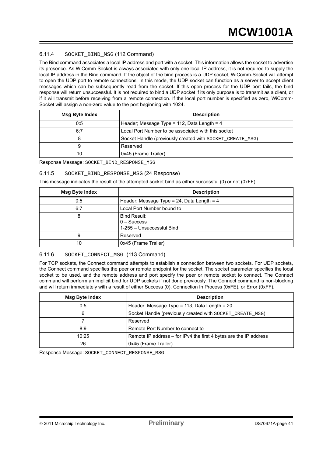#### 6.11.4 SOCKET\_BIND\_MSG (112 Command)

The Bind command associates a local IP address and port with a socket. This information allows the socket to advertise its presence. As WiComm-Socket is always associated with only one local IP address, it is not required to supply the local IP address in the Bind command. If the object of the bind process is a UDP socket, WiComm-Socket will attempt to open the UDP port to remote connections. In this mode, the UDP socket can function as a server to accept client messages which can be subsequently read from the socket. If this open process for the UDP port fails, the bind response will return unsuccessful. It is not required to bind a UDP socket if its only purpose is to transmit as a client, or if it will transmit before receiving from a remote connection. If the local port number is specified as zero, WiComm-Socket will assign a non-zero value to the port beginning with 1024.

| <b>Msq Byte Index</b> | <b>Description</b>                                        |
|-----------------------|-----------------------------------------------------------|
| 0:5                   | Header; Message Type = 112, Data Length = $4$             |
| 6:7                   | Local Port Number to be associated with this socket       |
|                       | Socket Handle (previously created with SOCKET_CREATE_MSG) |
|                       | Reserved                                                  |
| 10                    | 0x45 (Frame Trailer)                                      |

Response Message: SOCKET\_BIND\_RESPONSE\_MSG

#### 6.11.5 SOCKET BIND RESPONSE MSG (24 Response)

This message indicates the result of the attempted socket bind as either successful (0) or not (0xFF).

| <b>Msg Byte Index</b> | <b>Description</b>                                         |
|-----------------------|------------------------------------------------------------|
| 0:5                   | Header; Message Type = 24, Data Length = $4$               |
| 6:7                   | Local Port Number bound to                                 |
| 8                     | Bind Result:<br>$0 -$ Success<br>1-255 - Unsuccessful Bind |
| 9                     | Reserved                                                   |
| 10                    | 0x45 (Frame Trailer)                                       |

#### 6.11.6 SOCKET\_CONNECT\_MSG (113 Command)

For TCP sockets, the Connect command attempts to establish a connection between two sockets. For UDP sockets, the Connect command specifies the peer or remote endpoint for the socket. The socket parameter specifies the local socket to be used, and the remote address and port specify the peer or remote socket to connect. The Connect command will perform an implicit bind for UDP sockets if not done previously. The Connect command is non-blocking and will return immediately with a result of either Success (0), Connection In Process (0xFE), or Error (0xFF).

| <b>Msg Byte Index</b> | <b>Description</b>                                                |
|-----------------------|-------------------------------------------------------------------|
| 0:5                   | Header; Message Type = 113, Data Length = 20                      |
| 6                     | Socket Handle (previously created with SOCKET_CREATE_MSG)         |
|                       | Reserved                                                          |
| 8:9                   | Remote Port Number to connect to                                  |
| 10:25                 | Remote IP address - for IPv4 the first 4 bytes are the IP address |
| 26                    | 0x45 (Frame Trailer)                                              |

Response Message: SOCKET\_CONNECT\_RESPONSE\_MSG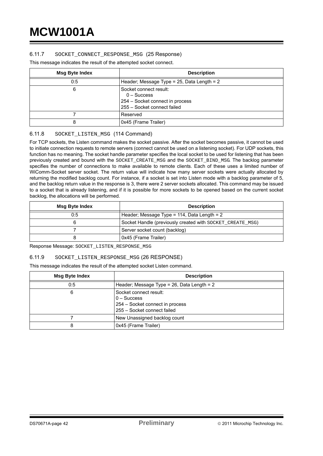#### 6.11.7 SOCKET\_CONNECT\_RESPONSE\_MSG (25 Response)

This message indicates the result of the attempted socket connect.

| <b>Msg Byte Index</b> | <b>Description</b>                                                                                        |
|-----------------------|-----------------------------------------------------------------------------------------------------------|
| 0:5                   | Header; Message Type = 25, Data Length = $2$                                                              |
| 6                     | Socket connect result:<br>$0 -$ Success<br>254 – Socket connect in process<br>255 - Socket connect failed |
|                       | Reserved                                                                                                  |
|                       | 0x45 (Frame Trailer)                                                                                      |

#### 6.11.8 SOCKET\_LISTEN\_MSG (114 Command)

For TCP sockets, the Listen command makes the socket passive. After the socket becomes passive, it cannot be used to initiate connection requests to remote servers (connect cannot be used on a listening socket). For UDP sockets, this function has no meaning. The socket handle parameter specifies the local socket to be used for listening that has been previously created and bound with the SOCKET\_CREATE\_MSG and the SOCKET\_BIND\_MSG. The backlog parameter specifies the number of connections to make available to remote clients. Each of these uses a limited number of WiComm-Socket server socket. The return value will indicate how many server sockets were actually allocated by returning the modified backlog count. For instance, if a socket is set into Listen mode with a backlog parameter of 5, and the backlog return value in the response is 3, there were 2 server sockets allocated. This command may be issued to a socket that is already listening, and if it is possible for more sockets to be opened based on the current socket backlog, the allocations will be performed.

| <b>Msg Byte Index</b> | <b>Description</b>                                        |
|-----------------------|-----------------------------------------------------------|
| 0:5                   | Header; Message Type = 114, Data Length = 2               |
|                       | Socket Handle (previously created with SOCKET_CREATE_MSG) |
|                       | Server socket count (backlog)                             |
|                       | Ox45 (Frame Trailer)                                      |

Response Message: SOCKET\_LISTEN\_RESPONSE\_MSG

#### 6.11.9 SOCKET\_LISTEN\_RESPONSE\_MSG (26 RESPONSE)

This message indicates the result of the attempted socket Listen command.

| <b>Msg Byte Index</b> | <b>Description</b>                                                                                     |
|-----------------------|--------------------------------------------------------------------------------------------------------|
| 0:5                   | Header; Message Type = 26, Data Length = $2 \overline{ }$                                              |
| 6                     | Socket connect result:<br>IO-Success<br>254 - Socket connect in process<br>255 - Socket connect failed |
|                       | New Unassigned backlog count                                                                           |
| 8                     | 0x45 (Frame Trailer)                                                                                   |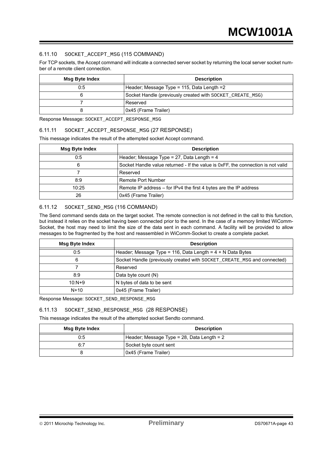#### 6.11.10 SOCKET\_ACCEPT\_MSG (115 COMMAND)

For TCP sockets, the Accept command will indicate a connected server socket by returning the local server socket number of a remote client connection.

| <b>Msq Byte Index</b> | <b>Description</b>                                        |
|-----------------------|-----------------------------------------------------------|
| 0:5                   | Header; Message Type = 115, Data Length = 2               |
|                       | Socket Handle (previously created with SOCKET_CREATE_MSG) |
|                       | Reserved                                                  |
|                       | 0x45 (Frame Trailer)                                      |

Response Message: SOCKET\_ACCEPT\_RESPONSE\_MSG

#### 6.11.11 SOCKET\_ACCEPT\_RESPONSE\_MSG (27 RESPONSE)

This message indicates the result of the attempted socket Accept command.

| <b>Msg Byte Index</b> | <b>Description</b>                                                               |
|-----------------------|----------------------------------------------------------------------------------|
| 0:5                   | Header; Message Type = $27$ , Data Length = $4$                                  |
| 6                     | Socket Handle value returned - If the value is 0xFF, the connection is not valid |
|                       | Reserved                                                                         |
| 8:9                   | Remote Port Number                                                               |
| 10:25                 | Remote IP address - for IPv4 the first 4 bytes are the IP address                |
| 26                    | 0x45 (Frame Trailer)                                                             |

#### 6.11.12 SOCKET\_SEND\_MSG (116 COMMAND)

The Send command sends data on the target socket. The remote connection is not defined in the call to this function, but instead it relies on the socket having been connected prior to the send. In the case of a memory limited WiComm-Socket, the host may need to limit the size of the data sent in each command. A facility will be provided to allow messages to be fragmented by the host and reassembled in WiComm-Socket to create a complete packet.

| <b>Msg Byte Index</b> | <b>Description</b>                                                      |
|-----------------------|-------------------------------------------------------------------------|
| 0:5                   | Header; Message Type = 116, Data Length = $4 + N$ Data Bytes            |
| 6                     | Socket Handle (previously created with SOCKET_CREATE_MSG and connected) |
|                       | Reserved                                                                |
| 8:9                   | Data byte count (N)                                                     |
| $10: N + 9$           | N bytes of data to be sent                                              |
| $N+10$                | 0x45 (Frame Trailer)                                                    |

Response Message: SOCKET\_SEND\_RESPONSE\_MSG

#### 6.11.13 SOCKET\_SEND\_RESPONSE\_MSG (28 RESPONSE)

This message indicates the result of the attempted socket Sendto command.

| <b>Msg Byte Index</b> | <b>Description</b>                         |
|-----------------------|--------------------------------------------|
| 0:5                   | Header; Message Type = 28, Data Length = 2 |
| 6:7                   | Socket byte count sent                     |
|                       | 0x45 (Frame Trailer)                       |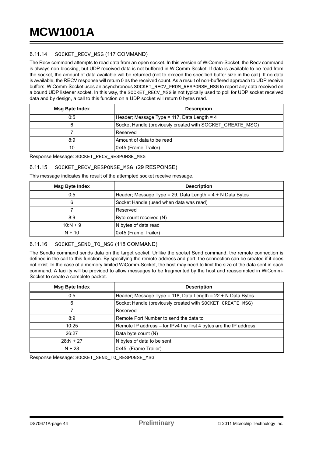#### 6.11.14 SOCKET\_RECV\_MSG (117 COMMAND)

The Recv command attempts to read data from an open socket. In this version of WiComm-Socket, the Recv command is always non-blocking, but UDP received data is not buffered in WiComm-Socket. If data is available to be read from the socket, the amount of data available will be returned (not to exceed the specified buffer size in the call). If no data is available, the RECV response will return 0 as the received count. As a result of non-buffered approach to UDP receive buffers, WiComm-Socket uses an asynchronous SOCKET\_RECV\_FROM\_RESPONSE\_MSG to report any data received on a bound UDP listener socket. In this way, the SOCKET\_RECV\_MSG is not typically used to poll for UDP socket received data and by design, a call to this function on a UDP socket will return 0 bytes read.

| <b>Msg Byte Index</b> | <b>Description</b>                                        |
|-----------------------|-----------------------------------------------------------|
| 0:5                   | Header; Message Type = 117, Data Length = $4$             |
| 6                     | Socket Handle (previously created with SOCKET CREATE MSG) |
|                       | Reserved                                                  |
| 8:9                   | Amount of data to be read                                 |
| 10                    | 0x45 (Frame Trailer)                                      |

Response Message: SOCKET\_RECV\_RESPONSE\_MSG

#### 6.11.15 SOCKET\_RECV\_RESPONSE\_MSG (29 RESPONSE)

This message indicates the result of the attempted socket receive message.

| Msg Byte Index | <b>Description</b>                                          |
|----------------|-------------------------------------------------------------|
| 0:5            | Header; Message Type = 29, Data Length = $4 + N$ Data Bytes |
| 6              | Socket Handle (used when data was read)                     |
|                | Reserved                                                    |
| 8:9            | Byte count received (N)                                     |
| $10:N + 9$     | N bytes of data read                                        |
| $N + 10$       | 0x45 (Frame Trailer)                                        |

#### 6.11.16 SOCKET\_SEND\_TO\_MSG (118 COMMAND)

The Sendto command sends data on the target socket. Unlike the socket Send command, the remote connection is defined in the call to this function. By specifying the remote address and port, the connection can be created if it does not exist. In the case of a memory limited WiComm-Socket, the host may need to limit the size of the data sent in each command. A facility will be provided to allow messages to be fragmented by the host and reassembled in WiComm-Socket to create a complete packet.

| <b>Msg Byte Index</b> | <b>Description</b>                                                |
|-----------------------|-------------------------------------------------------------------|
| 0:5                   | Header; Message Type = 118, Data Length = 22 + N Data Bytes       |
| 6                     | Socket Handle (previously created with SOCKET_CREATE_MSG)         |
|                       | Reserved                                                          |
| 8:9                   | Remote Port Number to send the data to                            |
| 10:25                 | Remote IP address – for IPv4 the first 4 bytes are the IP address |
| 26:27                 | Data byte count (N)                                               |
| $28:N + 27$           | N bytes of data to be sent                                        |
| $N + 28$              | 0x45 (Frame Trailer)                                              |

Response Message: SOCKET\_SEND\_TO\_RESPONSE\_MSG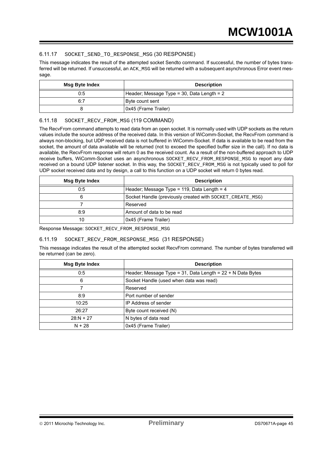#### 6.11.17 SOCKET\_SEND\_TO\_RESPONSE\_MSG (30 RESPONSE)

This message indicates the result of the attempted socket Sendto command. If successful, the number of bytes transferred will be returned. If unsuccessful, an ACK\_MSG will be returned with a subsequent asynchronous Error event message.

| <b>Msg Byte Index</b> | <b>Description</b>                         |
|-----------------------|--------------------------------------------|
| 0:5                   | Header; Message Type = 30, Data Length = 2 |
| 6:7                   | Byte count sent                            |
|                       | 0x45 (Frame Trailer)                       |

#### 6.11.18 SOCKET\_RECV\_FROM\_MSG (119 COMMAND)

The RecvFrom command attempts to read data from an open socket. It is normally used with UDP sockets as the return values include the source address of the received data. In this version of WiComm-Socket, the RecvFrom command is always non-blocking, but UDP received data is not buffered in WiComm-Socket. If data is available to be read from the socket, the amount of data available will be returned (not to exceed the specified buffer size in the call). If no data is available, the RecvFrom response will return 0 as the received count. As a result of the non-buffered approach to UDP receive buffers, WiComm-Socket uses an asynchronous SOCKET\_RECV\_FROM\_RESPONSE\_MSG to report any data received on a bound UDP listener socket. In this way, the SOCKET\_RECV\_FROM\_MSG is not typically used to poll for UDP socket received data and by design, a call to this function on a UDP socket will return 0 bytes read.

| <b>Msg Byte Index</b> | <b>Description</b>                                        |
|-----------------------|-----------------------------------------------------------|
| 0:5                   | Header; Message Type = 119, Data Length = $4$             |
| 6                     | Socket Handle (previously created with SOCKET_CREATE_MSG) |
|                       | Reserved                                                  |
| 8:9                   | Amount of data to be read                                 |
| 10                    | 0x45 (Frame Trailer)                                      |

Response Message: SOCKET\_RECV\_FROM\_RESPONSE\_MSG

#### 6.11.19 SOCKET\_RECV\_FROM\_RESPONSE\_MSG (31 RESPONSE)

This message indicates the result of the attempted socket RecvFrom command. The number of bytes transferred will be returned (can be zero).

| <b>Msg Byte Index</b> | <b>Description</b>                                         |
|-----------------------|------------------------------------------------------------|
| 0:5                   | Header; Message Type = 31, Data Length = 22 + N Data Bytes |
| 6                     | Socket Handle (used when data was read)                    |
|                       | Reserved                                                   |
| 8:9                   | Port number of sender                                      |
| 10:25                 | IP Address of sender                                       |
| 26:27                 | Byte count received (N)                                    |
| $28:N + 27$           | N bytes of data read                                       |
| $N + 28$              | 0x45 (Frame Trailer)                                       |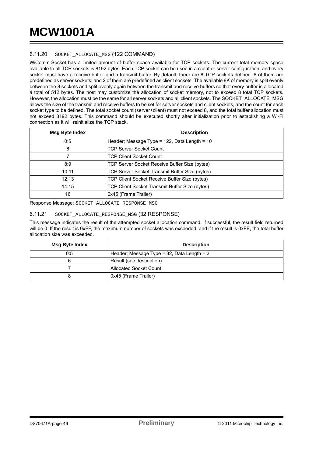#### 6.11.20 SOCKET\_ALLOCATE\_MSG (122 COMMAND)

WiComm-Socket has a limited amount of buffer space available for TCP sockets. The current total memory space available to all TCP sockets is 8192 bytes. Each TCP socket can be used in a client or server configuration, and every socket must have a receive buffer and a transmit buffer. By default, there are 8 TCP sockets defined. 6 of them are predefined as server sockets, and 2 of them are predefined as client sockets. The available 8K of memory is split evenly between the 8 sockets and split evenly again between the transmit and receive buffers so that every buffer is allocated a total of 512 bytes. The host may customize the allocation of socket memory, not to exceed 8 total TCP sockets. However, the allocation must be the same for all server sockets and all client sockets. The SOCKET\_ALLOCATE\_MSG allows the size of the transmit and receive buffers to be set for server sockets and client sockets, and the count for each socket type to be defined. The total socket count (server+client) must not exceed 8, and the total buffer allocation must not exceed 8192 bytes. This command should be executed shortly after initialization prior to establishing a Wi-Fi connection as it will reinitialize the TCP stack.

| Msg Byte Index | <b>Description</b>                             |
|----------------|------------------------------------------------|
| 0:5            | Header; Message Type = 122, Data Length = 10   |
| 6              | <b>TCP Server Socket Count</b>                 |
|                | <b>TCP Client Socket Count</b>                 |
| 8:9            | TCP Server Socket Receive Buffer Size (bytes)  |
| 10:11          | TCP Server Socket Transmit Buffer Size (bytes) |
| 12:13          | TCP Client Socket Receive Buffer Size (bytes)  |
| 14:15          | TCP Client Socket Transmit Buffer Size (bytes) |
| 16             | 0x45 (Frame Trailer)                           |

Response Message: SOCKET\_ALLOCATE\_RESPONSE\_MSG

#### 6.11.21 SOCKET\_ALLOCATE\_RESPONSE\_MSG (32 RESPONSE)

This message indicates the result of the attempted socket allocation command. If successful, the result field returned will be 0. If the result is 0xFF, the maximum number of sockets was exceeded, and if the result is 0xFE, the total buffer allocation size was exceeded.

| <b>Msg Byte Index</b> | <b>Description</b>                         |
|-----------------------|--------------------------------------------|
| 0:5                   | Header; Message Type = 32, Data Length = 2 |
|                       | Result (see description)                   |
|                       | I Allocated Socket Count                   |
|                       | 0x45 (Frame Trailer)                       |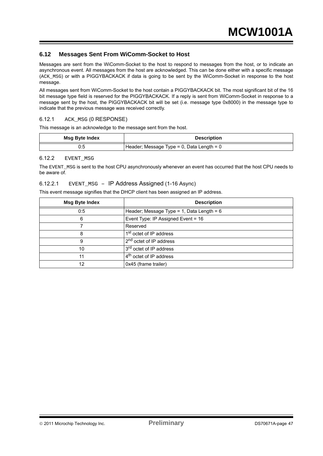#### **6.12 Messages Sent From WiComm-Socket to Host**

Messages are sent from the WiComm-Socket to the host to respond to messages from the host, or to indicate an asynchronous event. All messages from the host are acknowledged. This can be done either with a specific message (ACK\_MSG) or with a PIGGYBACKACK if data is going to be sent by the WiComm-Socket in response to the host message.

All messages sent from WiComm-Socket to the host contain a PIGGYBACKACK bit. The most significant bit of the 16 bit message type field is reserved for the PIGGYBACKACK. If a reply is sent from WiComm-Socket in response to a message sent by the host, the PIGGYBACKACK bit will be set (i.e. message type 0x8000) in the message type to indicate that the previous message was received correctly.

#### 6.12.1 ACK MSG (0 RESPONSE)

This message is an acknowledge to the message sent from the host.

| Msg Byte Index | <b>Description</b>                          |
|----------------|---------------------------------------------|
| ነ• 5<br>∪.⊾    | l Header; Message Type = 0, Data Length = 0 |

#### 6.12.2 EVENT\_MSG

The EVENT MSG is sent to the host CPU asynchronously whenever an event has occurred that the host CPU needs to be aware of.

#### 6.12.2.1 EVENT\_MSG – IP Address Assigned (1-16 Async)

This event message signifies that the DHCP client has been assigned an IP address.

| Msg Byte Index | <b>Description</b>                             |  |  |  |
|----------------|------------------------------------------------|--|--|--|
| 0:5            | Header; Message Type = $1$ , Data Length = $6$ |  |  |  |
| 6              | Event Type: IP Assigned Event = 16             |  |  |  |
|                | Reserved                                       |  |  |  |
| 8              | 1 <sup>st</sup> octet of IP address            |  |  |  |
| 9              | 2 <sup>nd</sup> octet of IP address            |  |  |  |
| 10             | 3 <sup>rd</sup> octet of IP address            |  |  |  |
| 11             | 4 <sup>th</sup> octet of IP address            |  |  |  |
| 12             | 0x45 (frame trailer)                           |  |  |  |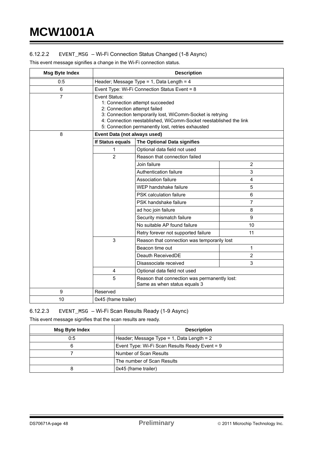#### 6.12.2.2 EVENT\_MSG – Wi-Fi Connection Status Changed (1-8 Async)

This event message signifies a change in the Wi-Fi connection status.

| <b>Msg Byte Index</b> | <b>Description</b>                                                                                                                                                                                                                                                      |                                                                              |    |  |  |  |  |
|-----------------------|-------------------------------------------------------------------------------------------------------------------------------------------------------------------------------------------------------------------------------------------------------------------------|------------------------------------------------------------------------------|----|--|--|--|--|
| 0:5                   |                                                                                                                                                                                                                                                                         | Header; Message Type = 1, Data Length = 4                                    |    |  |  |  |  |
| 6                     |                                                                                                                                                                                                                                                                         | Event Type: Wi-Fi Connection Status Event = 8                                |    |  |  |  |  |
| $\overline{7}$        | Event Status:<br>1: Connection attempt succeeded<br>2: Connection attempt failed<br>3: Connection temporarily lost, WiComm-Socket is retrying<br>4: Connection reestablished, WiComm-Socket reestablished the link<br>5: Connection permanently lost, retries exhausted |                                                                              |    |  |  |  |  |
| 8                     | Event Data (not always used)                                                                                                                                                                                                                                            |                                                                              |    |  |  |  |  |
|                       | If Status equals                                                                                                                                                                                                                                                        | The Optional Data signifies                                                  |    |  |  |  |  |
|                       | 1                                                                                                                                                                                                                                                                       | Optional data field not used                                                 |    |  |  |  |  |
|                       | $\overline{2}$                                                                                                                                                                                                                                                          | Reason that connection failed                                                |    |  |  |  |  |
|                       |                                                                                                                                                                                                                                                                         | Join failure                                                                 | 2  |  |  |  |  |
|                       | Authentication failure<br>3                                                                                                                                                                                                                                             |                                                                              |    |  |  |  |  |
|                       | Association failure<br>4                                                                                                                                                                                                                                                |                                                                              |    |  |  |  |  |
|                       | 5<br>WEP handshake failure                                                                                                                                                                                                                                              |                                                                              |    |  |  |  |  |
|                       |                                                                                                                                                                                                                                                                         | PSK calculation failure<br>6                                                 |    |  |  |  |  |
|                       | $\overline{7}$<br>PSK handshake failure                                                                                                                                                                                                                                 |                                                                              |    |  |  |  |  |
|                       | 8<br>ad hoc join failure                                                                                                                                                                                                                                                |                                                                              |    |  |  |  |  |
|                       |                                                                                                                                                                                                                                                                         | 9<br>Security mismatch failure                                               |    |  |  |  |  |
|                       |                                                                                                                                                                                                                                                                         | No suitable AP found failure                                                 | 10 |  |  |  |  |
|                       |                                                                                                                                                                                                                                                                         | Retry forever not supported failure                                          | 11 |  |  |  |  |
|                       | 3                                                                                                                                                                                                                                                                       | Reason that connection was temporarily lost                                  |    |  |  |  |  |
|                       |                                                                                                                                                                                                                                                                         | Beacon time out<br>1                                                         |    |  |  |  |  |
|                       |                                                                                                                                                                                                                                                                         | $\overline{2}$<br>Deauth ReceivedDE                                          |    |  |  |  |  |
|                       |                                                                                                                                                                                                                                                                         | 3<br>Disassociate received                                                   |    |  |  |  |  |
|                       | $\overline{\mathbf{4}}$<br>Optional data field not used                                                                                                                                                                                                                 |                                                                              |    |  |  |  |  |
|                       | 5                                                                                                                                                                                                                                                                       | Reason that connection was permanently lost:<br>Same as when status equals 3 |    |  |  |  |  |
| 9                     | Reserved                                                                                                                                                                                                                                                                |                                                                              |    |  |  |  |  |
| 10                    | 0x45 (frame trailer)                                                                                                                                                                                                                                                    |                                                                              |    |  |  |  |  |

#### 6.12.2.3 EVENT\_MSG – Wi-Fi Scan Results Ready (1-9 Async)

This event message signifies that the scan results are ready.

| <b>Msg Byte Index</b> | <b>Description</b>                             |  |  |  |  |
|-----------------------|------------------------------------------------|--|--|--|--|
| 0:5                   | Header; Message Type = 1, Data Length = $2$    |  |  |  |  |
| 6                     | Event Type: Wi-Fi Scan Results Ready Event = 9 |  |  |  |  |
|                       | Number of Scan Results                         |  |  |  |  |
|                       | The number of Scan Results                     |  |  |  |  |
|                       | 0x45 (frame trailer)                           |  |  |  |  |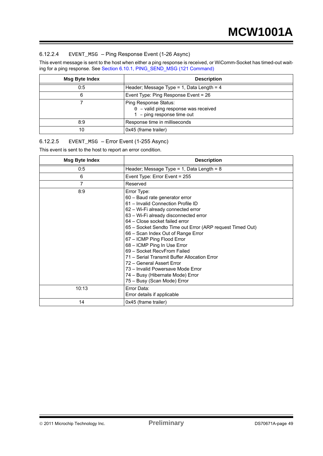#### 6.12.2.4 EVENT\_MSG – Ping Response Event (1-26 Async)

This event message is sent to the host when either a ping response is received, or WiComm-Socket has timed-out waiting for a ping response. See Section 6.10.1, PING\_SEND\_MSG (121 Command)

| <b>Msg Byte Index</b> | <b>Description</b>                                                                        |  |  |  |
|-----------------------|-------------------------------------------------------------------------------------------|--|--|--|
| 0:5                   | Header; Message Type = 1, Data Length = $4$                                               |  |  |  |
| 6                     | Event Type: Ping Response Event = 26                                                      |  |  |  |
|                       | Ping Response Status:<br>0 - valid ping response was received<br>- ping response time out |  |  |  |
| 8:9                   | Response time in milliseconds                                                             |  |  |  |
| 10                    | 0x45 (frame trailer)                                                                      |  |  |  |

#### 6.12.2.5 EVENT\_MSG – Error Event (1-255 Async)

This event is sent to the host to report an error condition.

| <b>Msg Byte Index</b> | <b>Description</b>                                                                                                                                                                                                                                                                                                                                                                                                                                                                                                                                                                       |  |  |  |  |  |
|-----------------------|------------------------------------------------------------------------------------------------------------------------------------------------------------------------------------------------------------------------------------------------------------------------------------------------------------------------------------------------------------------------------------------------------------------------------------------------------------------------------------------------------------------------------------------------------------------------------------------|--|--|--|--|--|
| 0:5                   | Header; Message Type = 1, Data Length = $8$                                                                                                                                                                                                                                                                                                                                                                                                                                                                                                                                              |  |  |  |  |  |
| 6                     | Event Type: Error Event = 255                                                                                                                                                                                                                                                                                                                                                                                                                                                                                                                                                            |  |  |  |  |  |
| 7                     | Reserved                                                                                                                                                                                                                                                                                                                                                                                                                                                                                                                                                                                 |  |  |  |  |  |
| 8:9                   | Error Type:<br>60 - Baud rate generator error<br>61 - Invalid Connection Profile ID<br>62 - Wi-Fi already connected error<br>63 - Wi-Fi already disconnected error<br>64 – Close socket failed error<br>65 - Socket Sendto Time out Error (ARP request Timed Out)<br>66 – Scan Index Out of Range Error<br>67 - ICMP Ping Flood Error<br>68 - ICMP Ping In Use Error<br>69 - Socket RecvFrom Failed<br>71 - Serial Transmit Buffer Allocation Error<br>72 - General Assert Error<br>73 - Invalid Powersave Mode Error<br>74 - Busy (Hibernate Mode) Error<br>75 - Busy (Scan Mode) Error |  |  |  |  |  |
| 10:13                 | Error Data:<br>Error details if applicable                                                                                                                                                                                                                                                                                                                                                                                                                                                                                                                                               |  |  |  |  |  |
| 14                    | 0x45 (frame trailer)                                                                                                                                                                                                                                                                                                                                                                                                                                                                                                                                                                     |  |  |  |  |  |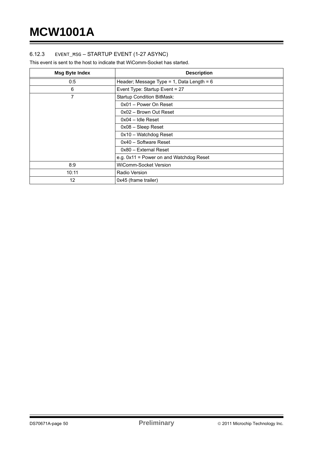#### 6.12.3 EVENT\_MSG – STARTUP EVENT (1-27 ASYNC)

This event is sent to the host to indicate that WiComm-Socket has started.

| <b>Msg Byte Index</b> | <b>Description</b>                          |  |  |  |
|-----------------------|---------------------------------------------|--|--|--|
| 0:5                   | Header; Message Type = 1, Data Length = $6$ |  |  |  |
| 6                     | Event Type: Startup Event = 27              |  |  |  |
| 7                     | <b>Startup Condition BitMask:</b>           |  |  |  |
|                       | 0x01 - Power On Reset                       |  |  |  |
|                       | 0x02 - Brown Out Reset                      |  |  |  |
|                       | $0x04 -$ Idle Reset                         |  |  |  |
|                       | $0x08 - Sleep$ Reset                        |  |  |  |
|                       | 0x10 - Watchdog Reset                       |  |  |  |
|                       | 0x40 - Software Reset                       |  |  |  |
|                       | 0x80 - External Reset                       |  |  |  |
|                       | e.g. 0x11 = Power on and Watchdog Reset     |  |  |  |
| 8:9                   | WiComm-Socket Version                       |  |  |  |
| 10:11                 | Radio Version                               |  |  |  |
| 12                    | 0x45 (frame trailer)                        |  |  |  |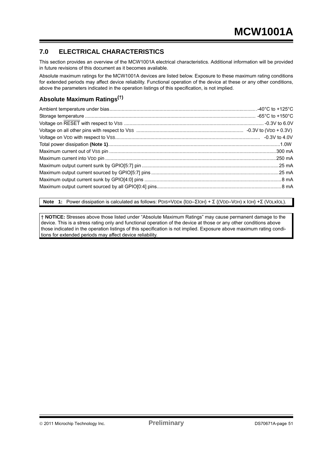#### <span id="page-50-1"></span><span id="page-50-0"></span>**7.0 ELECTRICAL CHARACTERISTICS**

This section provides an overview of the MCW1001A electrical characteristics. Additional information will be provided in future revisions of this document as it becomes available.

Absolute maximum ratings for the MCW1001A devices are listed below. Exposure to these maximum rating conditions for extended periods may affect device reliability. Functional operation of the device at these or any other conditions, above the parameters indicated in the operation listings of this specification, is not implied.

#### **Absolute Maximum Ratings(†)**

**Note 1:** Power dissipation is calculated as follows: PDIS=VDDx {IDD–ΣIOH} + Σ {(VDD–VOH) x IOH} + Σ (VOLxIOL).

† **NOTICE:** Stresses above those listed under "Absolute Maximum Ratings" may cause permanent damage to the device. This is a stress rating only and functional operation of the device at those or any other conditions above those indicated in the operation listings of this specification is not implied. Exposure above maximum rating conditions for extended periods may affect device reliability.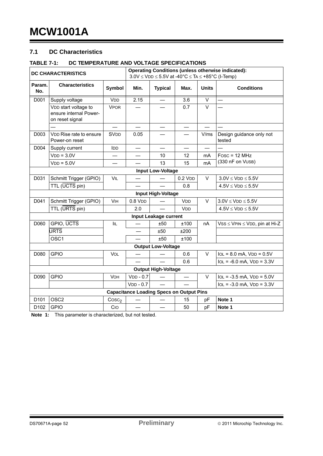#### **7.1 DC Characteristics**

#### **TABLE 7-1: DC TEMPERATURE AND VOLTAGE SPECIFICATIONS**

|                            | <b>DC CHARACTERISTICS</b>                                         | <b>Operating Conditions (unless otherwise indicated):</b><br>$3.0V \leq VDD \leq 5.5V$ at -40°C $\leq TA \leq +85$ °C (I-Temp) |                       |                                                 |                       |                               |                                    |  |
|----------------------------|-------------------------------------------------------------------|--------------------------------------------------------------------------------------------------------------------------------|-----------------------|-------------------------------------------------|-----------------------|-------------------------------|------------------------------------|--|
| Param.<br>No.              | <b>Characteristics</b>                                            | Symbol                                                                                                                         | Min.                  | <b>Typical</b>                                  | Max.                  | Units                         | <b>Conditions</b>                  |  |
| D001                       | Supply voltage                                                    | <b>V<sub>DD</sub></b>                                                                                                          | 2.15                  |                                                 | 3.6                   | $\vee$                        |                                    |  |
|                            | VDD start voltage to<br>ensure internal Power-<br>on reset signal | <b>VPOR</b>                                                                                                                    |                       |                                                 | 0.7                   | $\vee$                        |                                    |  |
|                            |                                                                   |                                                                                                                                |                       |                                                 |                       |                               |                                    |  |
| D003                       | VDD Rise rate to ensure<br>Power-on reset                         | <b>SV<sub>DD</sub></b>                                                                                                         | 0.05                  |                                                 |                       | V/ms                          | Design guidance only not<br>tested |  |
| D004                       | Supply current                                                    | <b>IDD</b>                                                                                                                     |                       |                                                 |                       |                               |                                    |  |
|                            | $VDD = 3.0V$                                                      |                                                                                                                                |                       | 10                                              | 12                    | mA                            | $Fosc = 12 MHz$                    |  |
|                            | $VDD = 5.0V$                                                      |                                                                                                                                |                       | 13                                              | 15                    | mA                            | (330 nF on VUSB)                   |  |
|                            |                                                                   |                                                                                                                                |                       | <b>Input Low-Voltage</b>                        |                       |                               |                                    |  |
| D031                       | Schmitt Trigger (GPIO)                                            | <b>VIL</b>                                                                                                                     |                       |                                                 | $0.2$ VDD             | V                             | $3.0V \leq VDD \leq 5.5V$          |  |
|                            | TTL (UCTS pin)                                                    |                                                                                                                                |                       |                                                 | 0.8                   |                               | $4.5V \leq VDD \leq 5.5V$          |  |
|                            |                                                                   |                                                                                                                                |                       | Input High-Voltage                              |                       |                               |                                    |  |
| D041                       | Schmitt Trigger (GPIO)                                            | <b>VIH</b>                                                                                                                     | $0.8$ V <sub>DD</sub> |                                                 | <b>V<sub>DD</sub></b> | V                             | $3.0V \leq VDD \leq 5.5V$          |  |
|                            | TTL (URTS pin)                                                    |                                                                                                                                | 2.0                   |                                                 | <b>VDD</b>            |                               | $4.5V \leq VDD \leq 5.5V$          |  |
|                            |                                                                   |                                                                                                                                |                       | <b>Input Leakage current</b>                    |                       |                               |                                    |  |
| D060                       | GPIO, UCTS                                                        | IIL                                                                                                                            |                       | ±50                                             | ±100                  | nA                            | Vss ≤ VPIN ≤ VDD, pin at Hi-Z      |  |
|                            | <b>URTS</b>                                                       |                                                                                                                                |                       | ±50                                             | ±200                  |                               |                                    |  |
|                            | OSC <sub>1</sub>                                                  |                                                                                                                                |                       | ±50                                             | ±100                  |                               |                                    |  |
|                            |                                                                   |                                                                                                                                |                       | <b>Output Low-Voltage</b>                       |                       |                               |                                    |  |
| D080                       | <b>GPIO</b>                                                       | VOL                                                                                                                            |                       |                                                 | 0.6                   | V                             | $IoL = 8.0$ mA, $VDD = 0.5V$       |  |
|                            |                                                                   |                                                                                                                                |                       |                                                 | 0.6                   |                               | $IoL = -6.0$ mA, $VDD = 3.3V$      |  |
| <b>Output High-Voltage</b> |                                                                   |                                                                                                                                |                       |                                                 |                       |                               |                                    |  |
| D090                       | <b>GPIO</b>                                                       | <b>VOH</b>                                                                                                                     | $VDD - 0.7$           |                                                 |                       | V                             | $IOL = -3.5$ mA, $VDD = 5.0V$      |  |
|                            |                                                                   | $VDD - 0.7$                                                                                                                    |                       |                                                 |                       | $IOL = -3.0$ mA, $VDD = 3.3V$ |                                    |  |
|                            |                                                                   |                                                                                                                                |                       | <b>Capacitance Loading Specs on Output Pins</b> |                       |                               |                                    |  |
| D <sub>101</sub>           | OSC <sub>2</sub>                                                  | Cosc <sub>2</sub>                                                                                                              |                       |                                                 | 15                    | pF                            | Note 1                             |  |
| D102                       | <b>GPIO</b>                                                       | CIO                                                                                                                            |                       |                                                 | 50                    | pF                            | Note 1                             |  |

**Note 1:** This parameter is characterized, but not tested.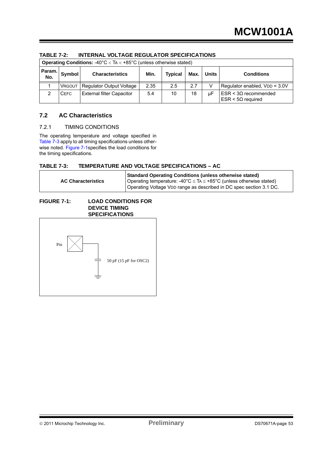| <b>Operating Conditions:</b> -40°C < TA < $+85^{\circ}$ C (unless otherwise stated) |               |                                  |      |                |      |              |                                                         |  |
|-------------------------------------------------------------------------------------|---------------|----------------------------------|------|----------------|------|--------------|---------------------------------------------------------|--|
| Param.<br>No.                                                                       | <b>Symbol</b> | <b>Characteristics</b>           | Min. | <b>Typical</b> | Max. | <b>Units</b> | <b>Conditions</b>                                       |  |
|                                                                                     | <b>VRGOUT</b> | <b>Regulator Output Voltage</b>  | 2.35 | 2.5            | 2.7  | V            | Requiator enabled, VDD = 3.0V                           |  |
| ົ                                                                                   | <b>CEFC</b>   | <b>External filter Capacitor</b> | 5.4  | 10             | 18   | μF           | $ESR < 3\Omega$ recommended<br>$ESR < 5\Omega$ required |  |

#### **TABLE 7-2: INTERNAL VOLTAGE REGULATOR SPECIFICATIONS**

#### **7.2 AC Characteristics**

#### 7.2.1 TIMING CONDITIONS

The operating temperature and voltage specified in [Table](#page-52-0) 7-3 apply to all timing specifications unless otherwise noted. [Figure](#page-52-1) 7-1specifies the load conditions for the timing specifications.

#### <span id="page-52-0"></span>**TABLE 7-3: TEMPERATURE AND VOLTAGE SPECIFICATIONS – AC**

|                           | <b>Standard Operating Conditions (unless otherwise stated)</b>                |
|---------------------------|-------------------------------------------------------------------------------|
| <b>AC Characteristics</b> | Operating temperature: -40°C $\leq$ TA $\leq$ +85°C (unless otherwise stated) |
|                           | Operating Voltage VDD range as described in DC spec section 3.1 DC.           |

<span id="page-52-1"></span>**FIGURE 7-1: LOAD CONDITIONS FOR DEVICE TIMING SPECIFICATIONS** 50 pF (15 pF for OSC2) Pin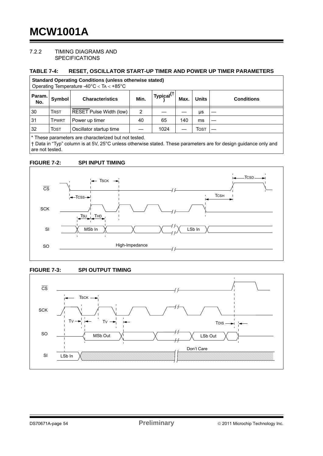#### 7.2.2 TIMING DIAGRAMS AND SPECIFICATIONS

#### **TABLE 7-4: RESET, OSCILLATOR START-UP TIMER AND POWER UP TIMER PARAMETERS**

|               | <b>Standard Operating Conditions (unless otherwise stated)</b><br>Operating Temperature -40 $^{\circ}$ C < TA < +85 $^{\circ}$ C |                                |      |                       |      |              |                   |  |
|---------------|----------------------------------------------------------------------------------------------------------------------------------|--------------------------------|------|-----------------------|------|--------------|-------------------|--|
| Param.<br>No. | Symbol                                                                                                                           | <b>Characteristics</b>         | Min. | Typical <sup>(†</sup> | Max. | <b>Units</b> | <b>Conditions</b> |  |
| 30            | <b>TRST</b>                                                                                                                      | <b>RESET Pulse Width (low)</b> | 2    |                       |      | μs           |                   |  |
| 31            | TPWRT                                                                                                                            | Power up timer                 | 40   | 65                    | 140  | ms           |                   |  |
| 32            | Tost                                                                                                                             | Oscillator startup time        |      | 1024                  |      | Tost         |                   |  |

\* These parameters are characterized but not tested.

† Data in "Typ" column is at 5V, 25°C unless otherwise stated. These parameters are for design guidance only and are not tested.

#### **FIGURE 7-2: SPI INPUT TIMING**





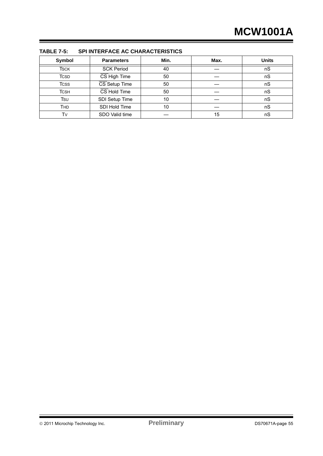| <b>TABLE 7-5:</b> | <b>SPI INTERFACE AC CHARACTERISTICS</b> |
|-------------------|-----------------------------------------|
|-------------------|-----------------------------------------|

| Symbol      | <b>Parameters</b> | Min. | Max. | <b>Units</b> |
|-------------|-------------------|------|------|--------------|
| <b>TSCK</b> | <b>SCK Period</b> | 40   |      | nS           |
| <b>TCSD</b> | CS High Time      | 50   |      | nS           |
| <b>TCSS</b> | CS Setup Time     | 50   |      | nS           |
| <b>TCSH</b> | CS Hold Time      | 50   |      | nS           |
| Tsu         | SDI Setup Time    | 10   |      | nS           |
| THD         | SDI Hold Time     | 10   |      | nS           |
| Tv          | SDO Valid time    |      | 15   | nS           |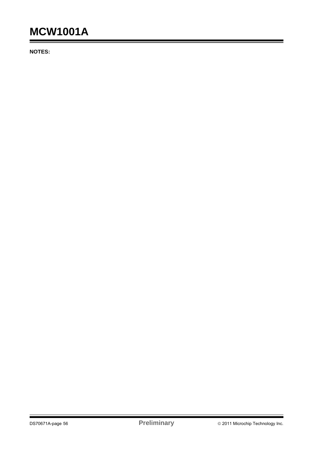**NOTES:**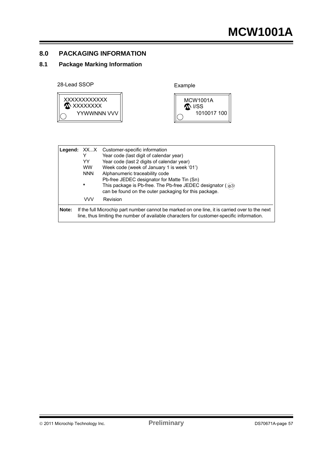#### <span id="page-56-0"></span>**8.0 PACKAGING INFORMATION**

#### **8.1 Package Marking Information**



|       |                                                                                                                                                                                             | <b>Legend:</b> XXX Customer-specific information            |
|-------|---------------------------------------------------------------------------------------------------------------------------------------------------------------------------------------------|-------------------------------------------------------------|
|       |                                                                                                                                                                                             | Year code (last digit of calendar year)                     |
|       | YY.                                                                                                                                                                                         | Year code (last 2 digits of calendar year)                  |
|       | <b>WW</b>                                                                                                                                                                                   | Week code (week of January 1 is week '01')                  |
|       | <b>NNN</b>                                                                                                                                                                                  | Alphanumeric traceability code                              |
|       |                                                                                                                                                                                             | Pb-free JEDEC designator for Matte Tin (Sn)                 |
|       | $\star$                                                                                                                                                                                     | This package is Pb-free. The Pb-free JEDEC designator ((e3) |
|       |                                                                                                                                                                                             | can be found on the outer packaging for this package.       |
|       | <b>VVV</b>                                                                                                                                                                                  | Revision                                                    |
| Note: | If the full Microchip part number cannot be marked on one line, it is carried over to the next<br>line, thus limiting the number of available characters for customer-specific information. |                                                             |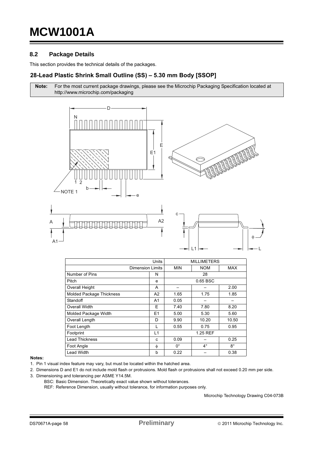#### **8.2 Package Details**

This section provides the technical details of the packages.

#### 28-Lead Plastic Shrink Small Outline (SS) – 5.30 mm Body [SSOP]

Note: For the most current package drawings, please see the Microchip Packaging Specification located at http://www.microchip.com/packaging



|                                 | Units          |             | <b>MILLIMETERS</b> |             |  |
|---------------------------------|----------------|-------------|--------------------|-------------|--|
| <b>Dimension Limits</b>         |                | <b>MIN</b>  | <b>NOM</b>         | <b>MAX</b>  |  |
| Number of Pins                  | N              | 28          |                    |             |  |
| Pitch                           | e              |             | 0.65 BSC           |             |  |
| <b>Overall Height</b>           | A              |             |                    | 2.00        |  |
| <b>Molded Package Thickness</b> | A2             | 1.65        | 1.75               | 1.85        |  |
| Standoff                        | A1             | 0.05        |                    |             |  |
| Overall Width                   | Е              | 7.40        | 7.80               | 8.20        |  |
| Molded Package Width            | E <sub>1</sub> | 5.00        | 5.30               | 5.60        |  |
| Overall Length                  | D              | 9.90        | 10.20              | 10.50       |  |
| Foot Length                     |                | 0.55        | 0.75               | 0.95        |  |
| Footprint                       | L1             | 1.25 REF    |                    |             |  |
| <b>Lead Thickness</b>           | C              | 0.09        |                    | 0.25        |  |
| Foot Angle                      | φ              | $0^{\circ}$ | $4^{\circ}$        | $8^{\circ}$ |  |
| <b>Lead Width</b>               | b              | 0.22        |                    | 0.38        |  |

#### Notes:

1. Pin 1 visual index feature may vary, but must be located within the hatched area.

2. Dimensions D and E1 do not include mold flash or protrusions. Mold flash or protrusions shall not exceed 0.20 mm per side. 3. Dimensioning and tolerancing per ASME Y14.5M.

BSC: Basic Dimension. Theoretically exact value shown without tolerances.

REF: Reference Dimension, usually without tolerance, for information purposes only.

Microchip Technology Drawing C04-073B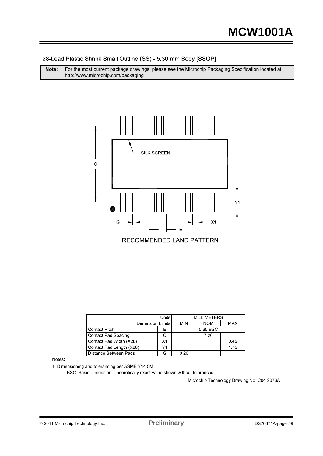#### 28-Lead Plastic Shrink Small Outline (SS) - 5.30 mm Body [SSOP]

**Note:** For the most current package drawings, please see the Microchip Packaging Specification located at http://www.microchip.com/packaging



#### RECOMMENDED LAND PATTERN

| Units                      |    | <b>MILLIMETERS</b> |            |            |
|----------------------------|----|--------------------|------------|------------|
| Dimension Limits           |    | MIN                | <b>NOM</b> | <b>MAX</b> |
| <b>Contact Pitch</b>       | ⊢  |                    | 0.65 BSC   |            |
| <b>Contact Pad Spacing</b> |    |                    | 7.20       |            |
| Contact Pad Width (X28)    | Х1 |                    |            | 0.45       |
| Contact Pad Length (X28)   | ۷1 |                    |            | 1.75       |
| Distance Between Pads      |    | 0.20               |            |            |

Notes:

1. Dimensioning and tolerancing per ASME Y14.5M

BSC: Basic Dimension. Theoretically exact value shown without tolerances.

Microchip Technology Drawing No. C04-2073A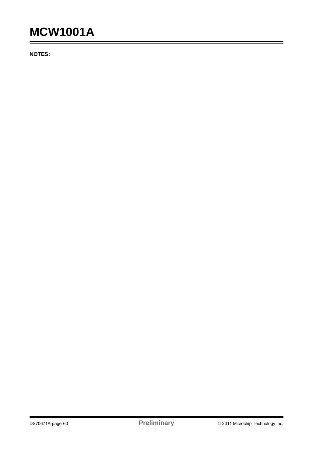## **MCW1001A**

**NOTES:**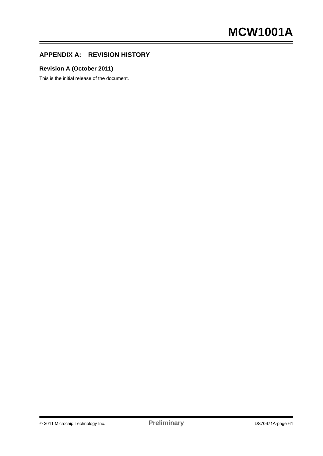#### <span id="page-60-0"></span>**APPENDIX A: REVISION HISTORY**

#### **Revision A (October 2011)**

This is the initial release of the document.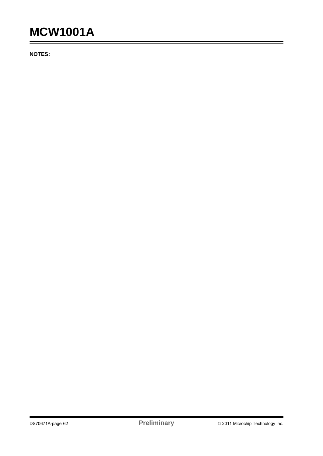## **MCW1001A**

**NOTES:**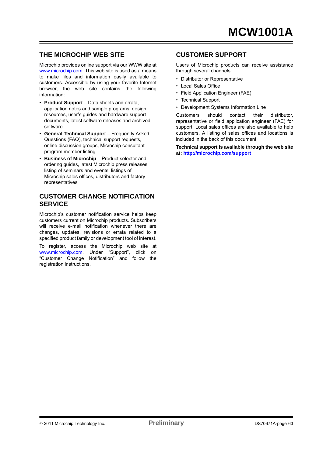#### <span id="page-62-0"></span>**THE MICROCHIP WEB SITE**

[Microchip provides online support via our WWW site at](http://www.microchip.com)  www.microchip.com. This web site is used as a means to make files and information easily available to customers. Accessible by using your favorite Internet browser, the web site contains the following information:

- **Product Support** Data sheets and errata, application notes and sample programs, design resources, user's guides and hardware support documents, latest software releases and archived software
- **General Technical Support** Frequently Asked Questions (FAQ), technical support requests, online discussion groups, Microchip consultant program member listing
- **Business of Microchip** Product selector and ordering guides, latest Microchip press releases, listing of seminars and events, listings of Microchip sales offices, distributors and factory representatives

#### <span id="page-62-1"></span>**CUSTOMER CHANGE NOTIFICATION SERVICE**

Microchip's customer notification service helps keep customers current on Microchip products. Subscribers will receive e-mail notification whenever there are changes, updates, revisions or errata related to a specified product family or development tool of interest.

[To register, access the Microchip web site at](http://www.microchip.com)  www.microchip.com. Under "Support", click on "Customer Change Notification" and follow the registration instructions.

#### <span id="page-62-2"></span>**CUSTOMER SUPPORT**

Users of Microchip products can receive assistance through several channels:

- Distributor or Representative
- Local Sales Office
- Field Application Engineer (FAE)
- Technical Support
- Development Systems Information Line

Customers should contact their distributor, representative or field application engineer (FAE) for support. Local sales offices are also available to help customers. A listing of sales offices and locations is included in the back of this document.

**[Technical support is available through the web site](http://www.microchip.com)  [at:](http://www.microchip.com) http://microchip.com/support**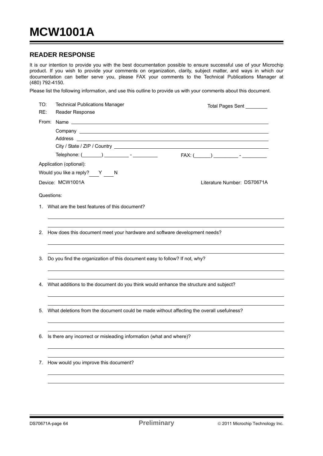#### <span id="page-63-0"></span>**READER RESPONSE**

It is our intention to provide you with the best documentation possible to ensure successful use of your Microchip product. If you wish to provide your comments on organization, clarity, subject matter, and ways in which our documentation can better serve you, please FAX your comments to the Technical Publications Manager at (480) 792-4150.

Please list the following information, and use this outline to provide us with your comments about this document.

| TO:<br>RE: | <b>Technical Publications Manager</b><br>Reader Response                                                                                                                                                                       |  | Total Pages Sent ________   |  |  |  |
|------------|--------------------------------------------------------------------------------------------------------------------------------------------------------------------------------------------------------------------------------|--|-----------------------------|--|--|--|
|            |                                                                                                                                                                                                                                |  |                             |  |  |  |
|            | Address and the contract of the contract of the contract of the contract of the contract of the contract of the contract of the contract of the contract of the contract of the contract of the contract of the contract of th |  |                             |  |  |  |
|            |                                                                                                                                                                                                                                |  |                             |  |  |  |
|            | Application (optional):                                                                                                                                                                                                        |  |                             |  |  |  |
|            | Would you like a reply? $Y \_ N$                                                                                                                                                                                               |  |                             |  |  |  |
|            | Device: MCW1001A                                                                                                                                                                                                               |  | Literature Number: DS70671A |  |  |  |
| Questions: |                                                                                                                                                                                                                                |  |                             |  |  |  |
|            | 1. What are the best features of this document?                                                                                                                                                                                |  |                             |  |  |  |
|            |                                                                                                                                                                                                                                |  |                             |  |  |  |
| 2.         | How does this document meet your hardware and software development needs?                                                                                                                                                      |  |                             |  |  |  |
| 3.         | Do you find the organization of this document easy to follow? If not, why?                                                                                                                                                     |  |                             |  |  |  |
|            |                                                                                                                                                                                                                                |  |                             |  |  |  |
| 4.         | What additions to the document do you think would enhance the structure and subject?                                                                                                                                           |  |                             |  |  |  |
|            |                                                                                                                                                                                                                                |  |                             |  |  |  |
| 5.         | What deletions from the document could be made without affecting the overall usefulness?                                                                                                                                       |  |                             |  |  |  |
|            |                                                                                                                                                                                                                                |  |                             |  |  |  |
|            | 6. Is there any incorrect or misleading information (what and where)?                                                                                                                                                          |  |                             |  |  |  |
|            |                                                                                                                                                                                                                                |  |                             |  |  |  |
| 7.         | How would you improve this document?                                                                                                                                                                                           |  |                             |  |  |  |
|            |                                                                                                                                                                                                                                |  |                             |  |  |  |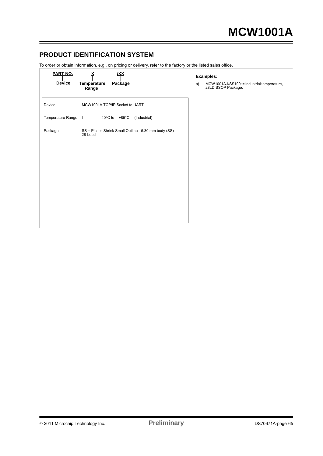#### <span id="page-64-0"></span>**PRODUCT IDENTIFICATION SYSTEM**

To order or obtain information, e.g., on pricing or delivery, refer to the factory or the listed sales office.

| PART NO.<br>Device | Χ<br><b>IXX</b><br>Temperature<br>Package<br>Range                  | Examples:<br>a)<br>MCW1001A-I/SS100: = Industrial temperature,<br>28LD SSOP Package. |
|--------------------|---------------------------------------------------------------------|--------------------------------------------------------------------------------------|
| Device             | MCW1001A TCP/IP Socket to UART                                      |                                                                                      |
|                    | Temperature Range $1 = -40^{\circ}C$ to $+85^{\circ}C$ (Industrial) |                                                                                      |
| Package            | SS = Plastic Shrink Small Outline - 5.30 mm body (SS)<br>28-Lead    |                                                                                      |